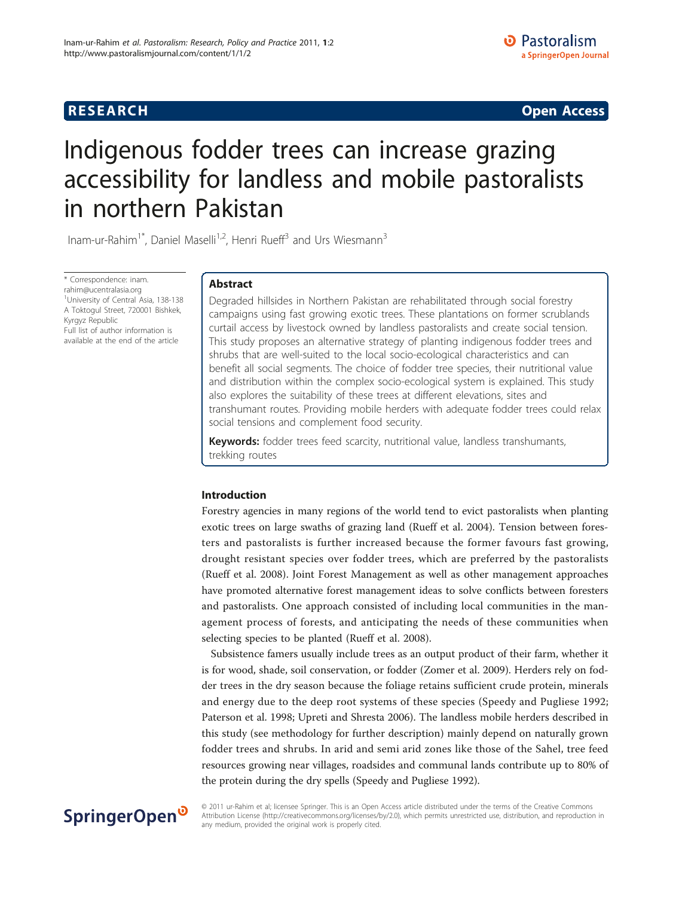**RESEARCH CONSTRUCTION CONSTRUCTS** 

# Indigenous fodder trees can increase grazing accessibility for landless and mobile pastoralists in northern Pakistan

Inam-ur-Rahim<sup>1\*</sup>, Daniel Maselli<sup>1,2</sup>, Henri Rueff<sup>3</sup> and Urs Wiesmann<sup>3</sup>

\* Correspondence: [inam.](mailto:inam.rahim@ucentralasia.org) [rahim@ucentralasia.org](mailto:inam.rahim@ucentralasia.org) <sup>1</sup>University of Central Asia, 138-138 A Toktogul Street, 720001 Bishkek, Kyrgyz Republic Full list of author information is available at the end of the article

### Abstract

Degraded hillsides in Northern Pakistan are rehabilitated through social forestry campaigns using fast growing exotic trees. These plantations on former scrublands curtail access by livestock owned by landless pastoralists and create social tension. This study proposes an alternative strategy of planting indigenous fodder trees and shrubs that are well-suited to the local socio-ecological characteristics and can benefit all social segments. The choice of fodder tree species, their nutritional value and distribution within the complex socio-ecological system is explained. This study also explores the suitability of these trees at different elevations, sites and transhumant routes. Providing mobile herders with adequate fodder trees could relax social tensions and complement food security.

Keywords: fodder trees feed scarcity, nutritional value, landless transhumants, trekking routes

#### Introduction

Forestry agencies in many regions of the world tend to evict pastoralists when planting exotic trees on large swaths of grazing land [\(Rueff et al. 2004\)](#page-18-0). Tension between foresters and pastoralists is further increased because the former favours fast growing, drought resistant species over fodder trees, which are preferred by the pastoralists ([Rueff et al. 2008](#page-18-0)). Joint Forest Management as well as other management approaches have promoted alternative forest management ideas to solve conflicts between foresters and pastoralists. One approach consisted of including local communities in the management process of forests, and anticipating the needs of these communities when selecting species to be planted [\(Rueff et al. 2008\)](#page-18-0).

Subsistence famers usually include trees as an output product of their farm, whether it is for wood, shade, soil conservation, or fodder [\(Zomer et al. 2009](#page-19-0)). Herders rely on fodder trees in the dry season because the foliage retains sufficient crude protein, minerals and energy due to the deep root systems of these species ([Speedy and Pugliese 1992](#page-18-0); [Paterson et al. 1998;](#page-18-0) [Upreti and Shresta 2006\)](#page-19-0). The landless mobile herders described in this study (see methodology for further description) mainly depend on naturally grown fodder trees and shrubs. In arid and semi arid zones like those of the Sahel, tree feed resources growing near villages, roadsides and communal lands contribute up to 80% of the protein during the dry spells [\(Speedy and Pugliese 1992](#page-18-0)).

## SpringerOpen<sup>®</sup>

© 2011 ur-Rahim et al; licensee Springer. This is an Open Access article distributed under the terms of the Creative Commons Attribution License [\(http://creativecommons.org/licenses/by/2.0](http://creativecommons.org/licenses/by/2.0)), which permits unrestricted use, distribution, and reproduction in any medium, provided the original work is properly cited.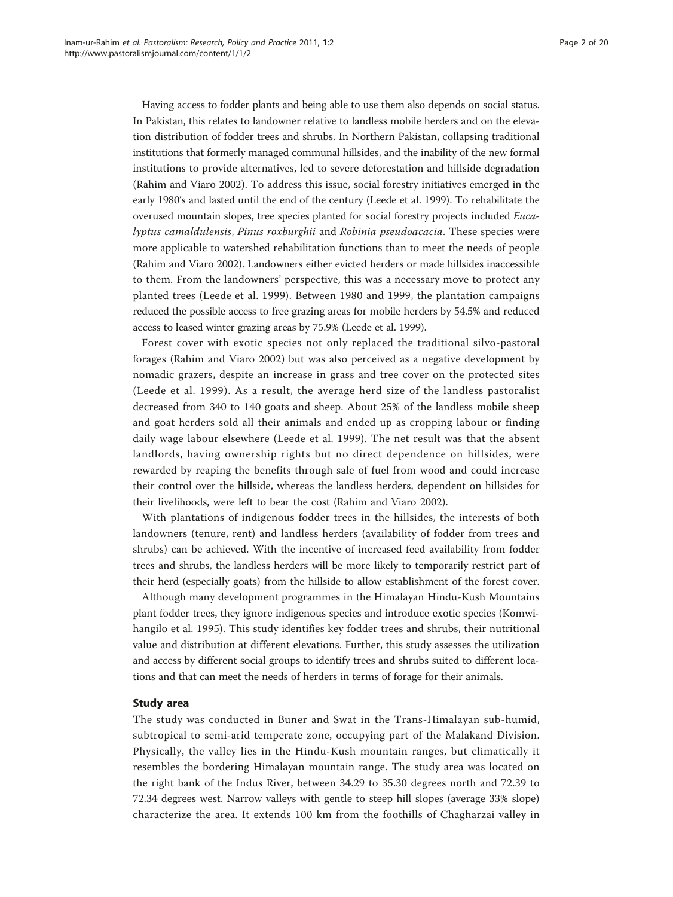Having access to fodder plants and being able to use them also depends on social status. In Pakistan, this relates to landowner relative to landless mobile herders and on the elevation distribution of fodder trees and shrubs. In Northern Pakistan, collapsing traditional institutions that formerly managed communal hillsides, and the inability of the new formal institutions to provide alternatives, led to severe deforestation and hillside degradation ([Rahim and Viaro 2002\)](#page-18-0). To address this issue, social forestry initiatives emerged in the early 1980's and lasted until the end of the century [\(Leede et al. 1999\)](#page-18-0). To rehabilitate the overused mountain slopes, tree species planted for social forestry projects included Eucalyptus camaldulensis, Pinus roxburghii and Robinia pseudoacacia. These species were more applicable to watershed rehabilitation functions than to meet the needs of people ([Rahim and Viaro 2002](#page-18-0)). Landowners either evicted herders or made hillsides inaccessible to them. From the landowners' perspective, this was a necessary move to protect any planted trees ([Leede et al. 1999\)](#page-18-0). Between 1980 and 1999, the plantation campaigns reduced the possible access to free grazing areas for mobile herders by 54.5% and reduced access to leased winter grazing areas by 75.9% ([Leede et al. 1999](#page-18-0)).

Forest cover with exotic species not only replaced the traditional silvo-pastoral forages ([Rahim and Viaro 2002\)](#page-18-0) but was also perceived as a negative development by nomadic grazers, despite an increase in grass and tree cover on the protected sites ([Leede et al. 1999](#page-18-0)). As a result, the average herd size of the landless pastoralist decreased from 340 to 140 goats and sheep. About 25% of the landless mobile sheep and goat herders sold all their animals and ended up as cropping labour or finding daily wage labour elsewhere ([Leede et al. 1999](#page-18-0)). The net result was that the absent landlords, having ownership rights but no direct dependence on hillsides, were rewarded by reaping the benefits through sale of fuel from wood and could increase their control over the hillside, whereas the landless herders, dependent on hillsides for their livelihoods, were left to bear the cost [\(Rahim and Viaro 2002](#page-18-0)).

With plantations of indigenous fodder trees in the hillsides, the interests of both landowners (tenure, rent) and landless herders (availability of fodder from trees and shrubs) can be achieved. With the incentive of increased feed availability from fodder trees and shrubs, the landless herders will be more likely to temporarily restrict part of their herd (especially goats) from the hillside to allow establishment of the forest cover.

Although many development programmes in the Himalayan Hindu-Kush Mountains plant fodder trees, they ignore indigenous species and introduce exotic species ([Komwi](#page-18-0)[hangilo et al. 1995](#page-18-0)). This study identifies key fodder trees and shrubs, their nutritional value and distribution at different elevations. Further, this study assesses the utilization and access by different social groups to identify trees and shrubs suited to different locations and that can meet the needs of herders in terms of forage for their animals.

#### Study area

The study was conducted in Buner and Swat in the Trans-Himalayan sub-humid, subtropical to semi-arid temperate zone, occupying part of the Malakand Division. Physically, the valley lies in the Hindu-Kush mountain ranges, but climatically it resembles the bordering Himalayan mountain range. The study area was located on the right bank of the Indus River, between 34.29 to 35.30 degrees north and 72.39 to 72.34 degrees west. Narrow valleys with gentle to steep hill slopes (average 33% slope) characterize the area. It extends 100 km from the foothills of Chagharzai valley in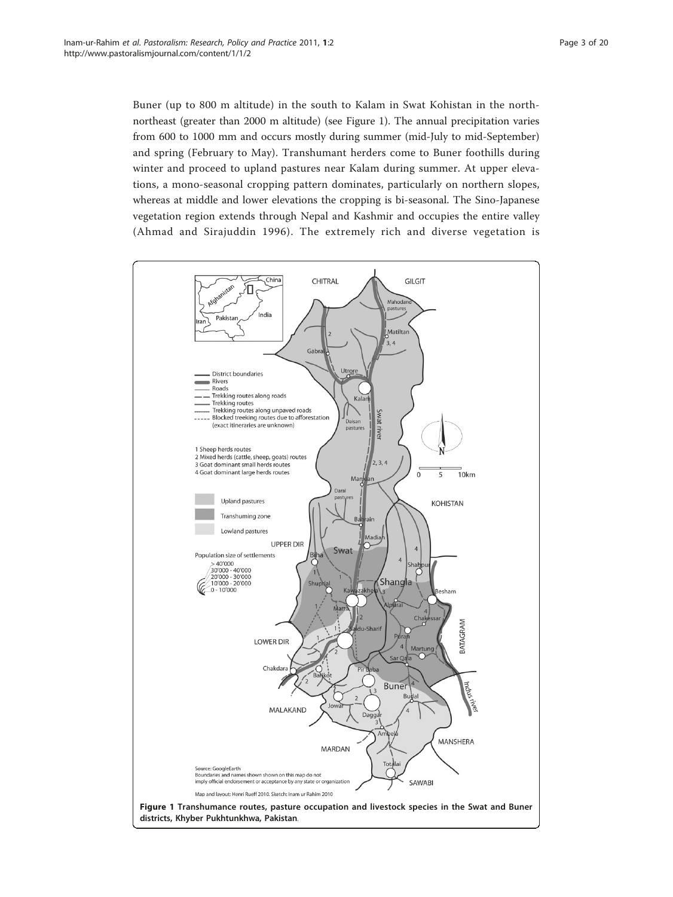Buner (up to 800 m altitude) in the south to Kalam in Swat Kohistan in the northnortheast (greater than 2000 m altitude) (see Figure 1). The annual precipitation varies from 600 to 1000 mm and occurs mostly during summer (mid-July to mid-September) and spring (February to May). Transhumant herders come to Buner foothills during winter and proceed to upland pastures near Kalam during summer. At upper elevations, a mono-seasonal cropping pattern dominates, particularly on northern slopes, whereas at middle and lower elevations the cropping is bi-seasonal. The Sino-Japanese vegetation region extends through Nepal and Kashmir and occupies the entire valley ([Ahmad and Sirajuddin 1996\)](#page-18-0). The extremely rich and diverse vegetation is

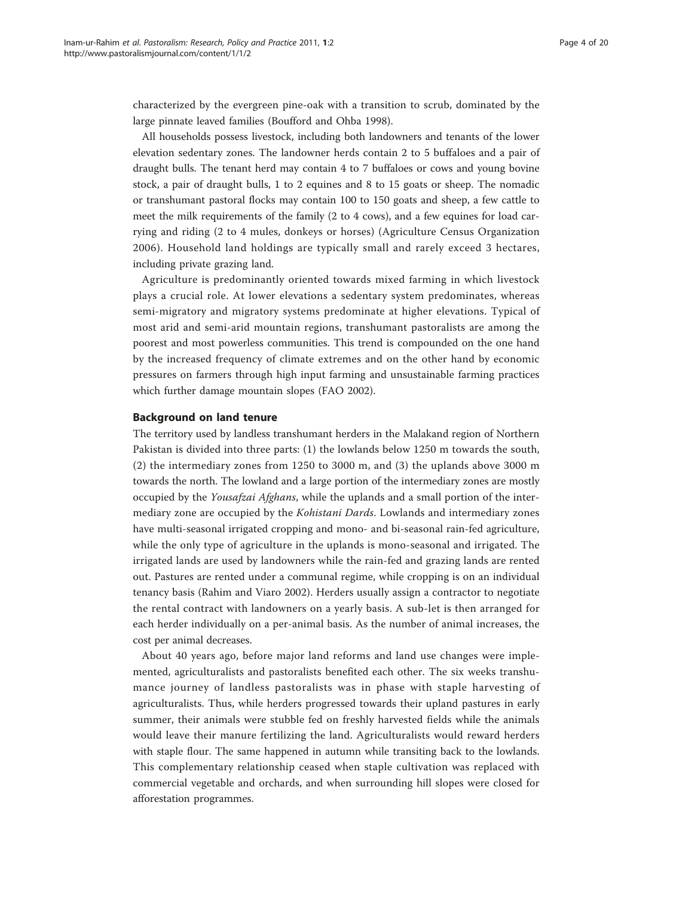characterized by the evergreen pine-oak with a transition to scrub, dominated by the large pinnate leaved families [\(Boufford and Ohba 1998\)](#page-18-0).

All households possess livestock, including both landowners and tenants of the lower elevation sedentary zones. The landowner herds contain 2 to 5 buffaloes and a pair of draught bulls. The tenant herd may contain 4 to 7 buffaloes or cows and young bovine stock, a pair of draught bulls, 1 to 2 equines and 8 to 15 goats or sheep. The nomadic or transhumant pastoral flocks may contain 100 to 150 goats and sheep, a few cattle to meet the milk requirements of the family (2 to 4 cows), and a few equines for load carrying and riding (2 to 4 mules, donkeys or horses) [\(Agriculture Census Organization](#page-18-0) [2006\)](#page-18-0). Household land holdings are typically small and rarely exceed 3 hectares, including private grazing land.

Agriculture is predominantly oriented towards mixed farming in which livestock plays a crucial role. At lower elevations a sedentary system predominates, whereas semi-migratory and migratory systems predominate at higher elevations. Typical of most arid and semi-arid mountain regions, transhumant pastoralists are among the poorest and most powerless communities. This trend is compounded on the one hand by the increased frequency of climate extremes and on the other hand by economic pressures on farmers through high input farming and unsustainable farming practices which further damage mountain slopes ([FAO 2002](#page-18-0)).

#### Background on land tenure

The territory used by landless transhumant herders in the Malakand region of Northern Pakistan is divided into three parts: (1) the lowlands below 1250 m towards the south, (2) the intermediary zones from 1250 to 3000 m, and (3) the uplands above 3000 m towards the north. The lowland and a large portion of the intermediary zones are mostly occupied by the Yousafzai Afghans, while the uplands and a small portion of the intermediary zone are occupied by the Kohistani Dards. Lowlands and intermediary zones have multi-seasonal irrigated cropping and mono- and bi-seasonal rain-fed agriculture, while the only type of agriculture in the uplands is mono-seasonal and irrigated. The irrigated lands are used by landowners while the rain-fed and grazing lands are rented out. Pastures are rented under a communal regime, while cropping is on an individual tenancy basis ([Rahim and Viaro 2002\)](#page-18-0). Herders usually assign a contractor to negotiate the rental contract with landowners on a yearly basis. A sub-let is then arranged for each herder individually on a per-animal basis. As the number of animal increases, the cost per animal decreases.

About 40 years ago, before major land reforms and land use changes were implemented, agriculturalists and pastoralists benefited each other. The six weeks transhumance journey of landless pastoralists was in phase with staple harvesting of agriculturalists. Thus, while herders progressed towards their upland pastures in early summer, their animals were stubble fed on freshly harvested fields while the animals would leave their manure fertilizing the land. Agriculturalists would reward herders with staple flour. The same happened in autumn while transiting back to the lowlands. This complementary relationship ceased when staple cultivation was replaced with commercial vegetable and orchards, and when surrounding hill slopes were closed for afforestation programmes.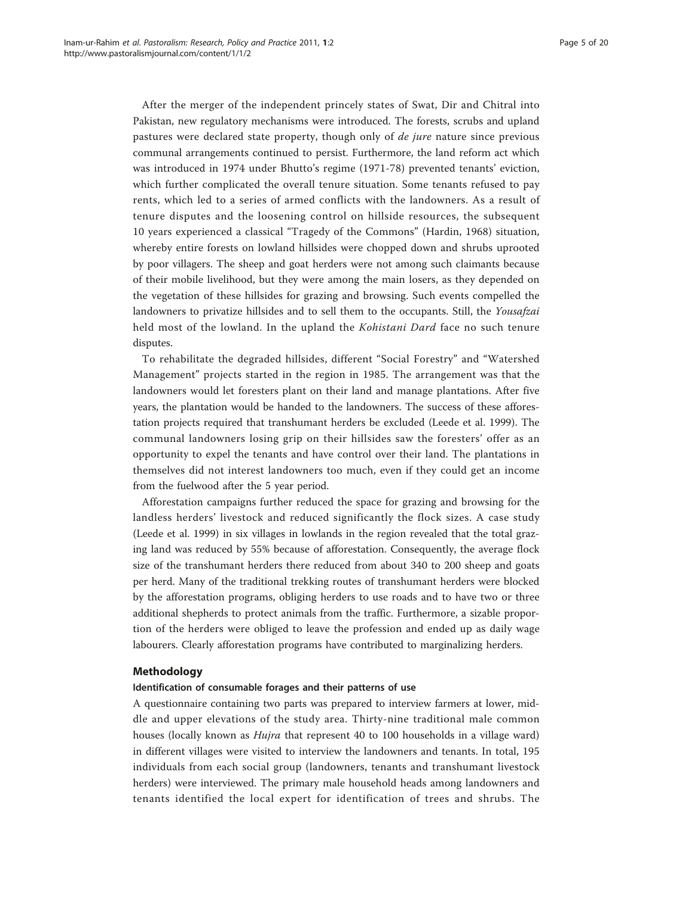After the merger of the independent princely states of Swat, Dir and Chitral into Pakistan, new regulatory mechanisms were introduced. The forests, scrubs and upland pastures were declared state property, though only of de jure nature since previous communal arrangements continued to persist. Furthermore, the land reform act which was introduced in 1974 under Bhutto's regime (1971-78) prevented tenants' eviction, which further complicated the overall tenure situation. Some tenants refused to pay rents, which led to a series of armed conflicts with the landowners. As a result of tenure disputes and the loosening control on hillside resources, the subsequent 10 years experienced a classical "Tragedy of the Commons" (Hardin, 1968) situation, whereby entire forests on lowland hillsides were chopped down and shrubs uprooted by poor villagers. The sheep and goat herders were not among such claimants because of their mobile livelihood, but they were among the main losers, as they depended on the vegetation of these hillsides for grazing and browsing. Such events compelled the landowners to privatize hillsides and to sell them to the occupants. Still, the Yousafzai held most of the lowland. In the upland the *Kohistani Dard* face no such tenure disputes.

To rehabilitate the degraded hillsides, different "Social Forestry" and "Watershed Management" projects started in the region in 1985. The arrangement was that the landowners would let foresters plant on their land and manage plantations. After five years, the plantation would be handed to the landowners. The success of these afforestation projects required that transhumant herders be excluded ([Leede et al. 1999\)](#page-18-0). The communal landowners losing grip on their hillsides saw the foresters' offer as an opportunity to expel the tenants and have control over their land. The plantations in themselves did not interest landowners too much, even if they could get an income from the fuelwood after the 5 year period.

Afforestation campaigns further reduced the space for grazing and browsing for the landless herders' livestock and reduced significantly the flock sizes. A case study ([Leede et al. 1999\)](#page-18-0) in six villages in lowlands in the region revealed that the total grazing land was reduced by 55% because of afforestation. Consequently, the average flock size of the transhumant herders there reduced from about 340 to 200 sheep and goats per herd. Many of the traditional trekking routes of transhumant herders were blocked by the afforestation programs, obliging herders to use roads and to have two or three additional shepherds to protect animals from the traffic. Furthermore, a sizable proportion of the herders were obliged to leave the profession and ended up as daily wage labourers. Clearly afforestation programs have contributed to marginalizing herders.

#### Methodology

#### Identification of consumable forages and their patterns of use

A questionnaire containing two parts was prepared to interview farmers at lower, middle and upper elevations of the study area. Thirty-nine traditional male common houses (locally known as Hujra that represent 40 to 100 households in a village ward) in different villages were visited to interview the landowners and tenants. In total, 195 individuals from each social group (landowners, tenants and transhumant livestock herders) were interviewed. The primary male household heads among landowners and tenants identified the local expert for identification of trees and shrubs. The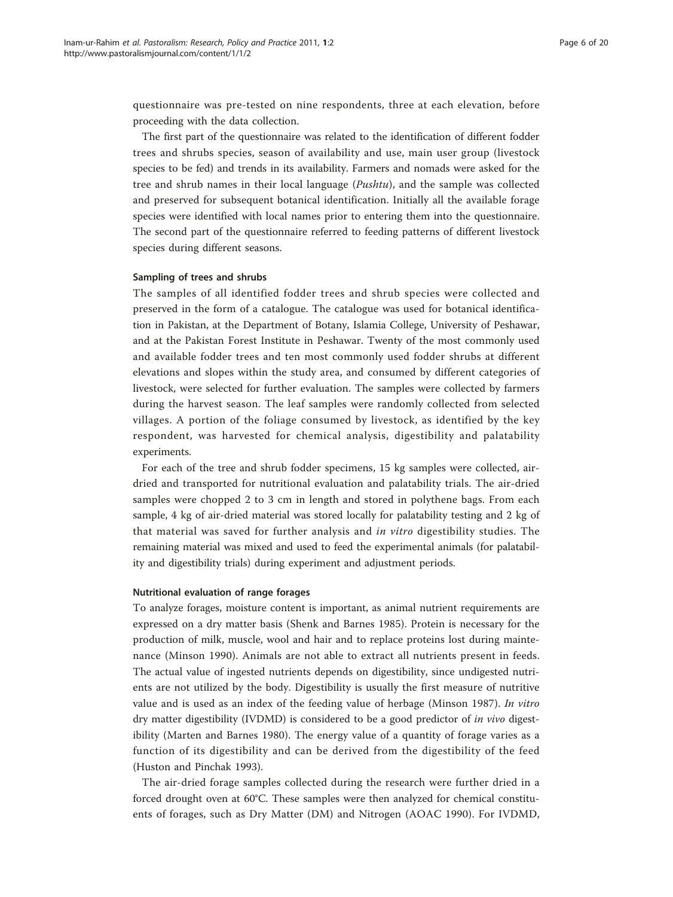questionnaire was pre-tested on nine respondents, three at each elevation, before proceeding with the data collection.

The first part of the questionnaire was related to the identification of different fodder trees and shrubs species, season of availability and use, main user group (livestock species to be fed) and trends in its availability. Farmers and nomads were asked for the tree and shrub names in their local language (Pushtu), and the sample was collected and preserved for subsequent botanical identification. Initially all the available forage species were identified with local names prior to entering them into the questionnaire. The second part of the questionnaire referred to feeding patterns of different livestock species during different seasons.

#### Sampling of trees and shrubs

The samples of all identified fodder trees and shrub species were collected and preserved in the form of a catalogue. The catalogue was used for botanical identification in Pakistan, at the Department of Botany, Islamia College, University of Peshawar, and at the Pakistan Forest Institute in Peshawar. Twenty of the most commonly used and available fodder trees and ten most commonly used fodder shrubs at different elevations and slopes within the study area, and consumed by different categories of livestock, were selected for further evaluation. The samples were collected by farmers during the harvest season. The leaf samples were randomly collected from selected villages. A portion of the foliage consumed by livestock, as identified by the key respondent, was harvested for chemical analysis, digestibility and palatability experiments.

For each of the tree and shrub fodder specimens, 15 kg samples were collected, airdried and transported for nutritional evaluation and palatability trials. The air-dried samples were chopped 2 to 3 cm in length and stored in polythene bags. From each sample, 4 kg of air-dried material was stored locally for palatability testing and 2 kg of that material was saved for further analysis and in vitro digestibility studies. The remaining material was mixed and used to feed the experimental animals (for palatability and digestibility trials) during experiment and adjustment periods.

#### Nutritional evaluation of range forages

To analyze forages, moisture content is important, as animal nutrient requirements are expressed on a dry matter basis ([Shenk and Barnes 1985\)](#page-18-0). Protein is necessary for the production of milk, muscle, wool and hair and to replace proteins lost during maintenance [\(Minson 1990](#page-18-0)). Animals are not able to extract all nutrients present in feeds. The actual value of ingested nutrients depends on digestibility, since undigested nutrients are not utilized by the body. Digestibility is usually the first measure of nutritive value and is used as an index of the feeding value of herbage [\(Minson 1987\)](#page-18-0). In vitro dry matter digestibility (IVDMD) is considered to be a good predictor of in vivo digestibility ([Marten and Barnes 1980\)](#page-18-0). The energy value of a quantity of forage varies as a function of its digestibility and can be derived from the digestibility of the feed ([Huston and Pinchak 1993\)](#page-18-0).

The air-dried forage samples collected during the research were further dried in a forced drought oven at 60°C. These samples were then analyzed for chemical constituents of forages, such as Dry Matter (DM) and Nitrogen ([AOAC 1990](#page-18-0)). For IVDMD,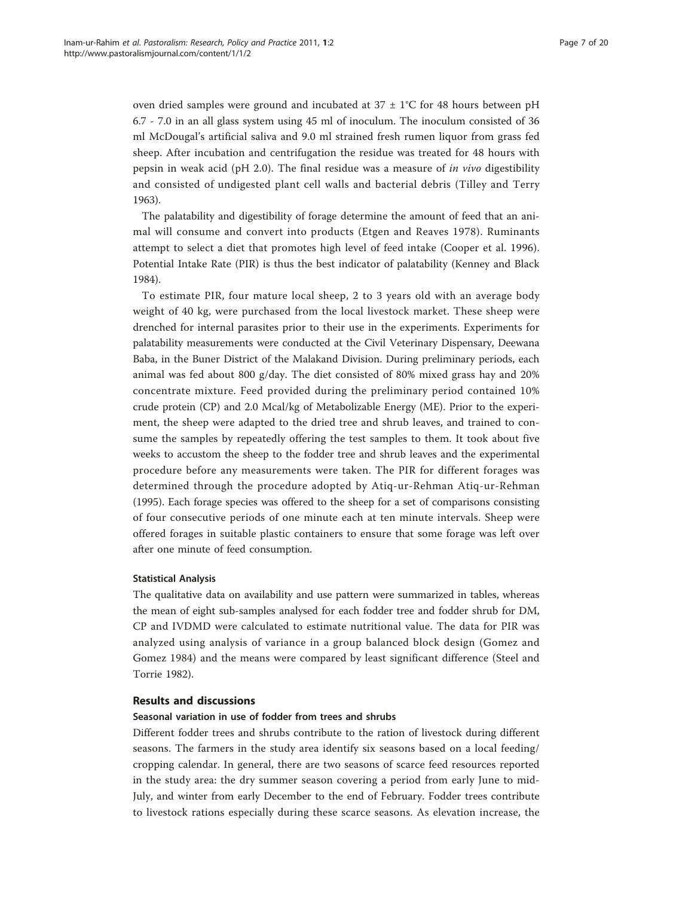oven dried samples were ground and incubated at  $37 \pm 1^{\circ}$ C for 48 hours between pH 6.7 - 7.0 in an all glass system using 45 ml of inoculum. The inoculum consisted of 36 ml McDougal's artificial saliva and 9.0 ml strained fresh rumen liquor from grass fed sheep. After incubation and centrifugation the residue was treated for 48 hours with pepsin in weak acid (pH 2.0). The final residue was a measure of *in vivo* digestibility and consisted of undigested plant cell walls and bacterial debris ([Tilley and Terry](#page-18-0) [1963](#page-18-0)).

The palatability and digestibility of forage determine the amount of feed that an animal will consume and convert into products [\(Etgen and Reaves 1978\)](#page-18-0). Ruminants attempt to select a diet that promotes high level of feed intake (Cooper et al. 1996). Potential Intake Rate (PIR) is thus the best indicator of palatability ([Kenney and Black](#page-18-0) [1984](#page-18-0)).

To estimate PIR, four mature local sheep, 2 to 3 years old with an average body weight of 40 kg, were purchased from the local livestock market. These sheep were drenched for internal parasites prior to their use in the experiments. Experiments for palatability measurements were conducted at the Civil Veterinary Dispensary, Deewana Baba, in the Buner District of the Malakand Division. During preliminary periods, each animal was fed about 800 g/day. The diet consisted of 80% mixed grass hay and 20% concentrate mixture. Feed provided during the preliminary period contained 10% crude protein (CP) and 2.0 Mcal/kg of Metabolizable Energy (ME). Prior to the experiment, the sheep were adapted to the dried tree and shrub leaves, and trained to consume the samples by repeatedly offering the test samples to them. It took about five weeks to accustom the sheep to the fodder tree and shrub leaves and the experimental procedure before any measurements were taken. The PIR for different forages was determined through the procedure adopted by Atiq-ur-Rehman [Atiq-ur-Rehman](#page-18-0) [\(1995\)](#page-18-0). Each forage species was offered to the sheep for a set of comparisons consisting of four consecutive periods of one minute each at ten minute intervals. Sheep were offered forages in suitable plastic containers to ensure that some forage was left over after one minute of feed consumption.

#### Statistical Analysis

The qualitative data on availability and use pattern were summarized in tables, whereas the mean of eight sub-samples analysed for each fodder tree and fodder shrub for DM, CP and IVDMD were calculated to estimate nutritional value. The data for PIR was analyzed using analysis of variance in a group balanced block design ([Gomez and](#page-18-0) [Gomez 1984\)](#page-18-0) and the means were compared by least significant difference ([Steel and](#page-18-0) [Torrie 1982](#page-18-0)).

#### Results and discussions

#### Seasonal variation in use of fodder from trees and shrubs

Different fodder trees and shrubs contribute to the ration of livestock during different seasons. The farmers in the study area identify six seasons based on a local feeding/ cropping calendar. In general, there are two seasons of scarce feed resources reported in the study area: the dry summer season covering a period from early June to mid-July, and winter from early December to the end of February. Fodder trees contribute to livestock rations especially during these scarce seasons. As elevation increase, the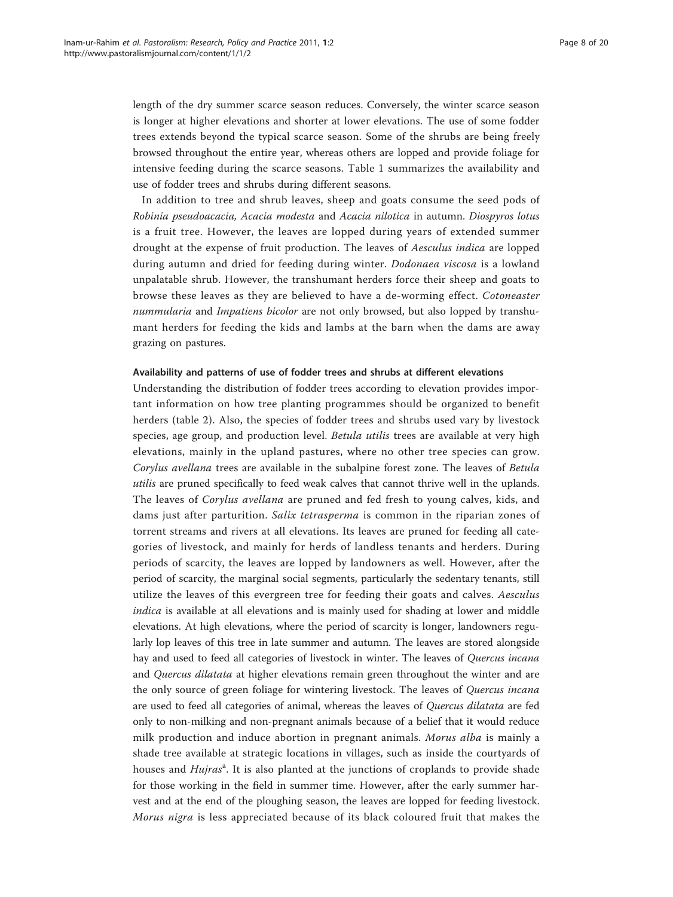length of the dry summer scarce season reduces. Conversely, the winter scarce season is longer at higher elevations and shorter at lower elevations. The use of some fodder trees extends beyond the typical scarce season. Some of the shrubs are being freely browsed throughout the entire year, whereas others are lopped and provide foliage for intensive feeding during the scarce seasons. Table [1](#page-8-0) summarizes the availability and use of fodder trees and shrubs during different seasons.

In addition to tree and shrub leaves, sheep and goats consume the seed pods of Robinia pseudoacacia, Acacia modesta and Acacia nilotica in autumn. Diospyros lotus is a fruit tree. However, the leaves are lopped during years of extended summer drought at the expense of fruit production. The leaves of Aesculus indica are lopped during autumn and dried for feeding during winter. Dodonaea viscosa is a lowland unpalatable shrub. However, the transhumant herders force their sheep and goats to browse these leaves as they are believed to have a de-worming effect. Cotoneaster nummularia and Impatiens bicolor are not only browsed, but also lopped by transhumant herders for feeding the kids and lambs at the barn when the dams are away grazing on pastures.

#### Availability and patterns of use of fodder trees and shrubs at different elevations

Understanding the distribution of fodder trees according to elevation provides important information on how tree planting programmes should be organized to benefit herders (table [2\)](#page-9-0). Also, the species of fodder trees and shrubs used vary by livestock species, age group, and production level. Betula utilis trees are available at very high elevations, mainly in the upland pastures, where no other tree species can grow. Corylus avellana trees are available in the subalpine forest zone. The leaves of Betula utilis are pruned specifically to feed weak calves that cannot thrive well in the uplands. The leaves of *Corylus avellana* are pruned and fed fresh to young calves, kids, and dams just after parturition. Salix tetrasperma is common in the riparian zones of torrent streams and rivers at all elevations. Its leaves are pruned for feeding all categories of livestock, and mainly for herds of landless tenants and herders. During periods of scarcity, the leaves are lopped by landowners as well. However, after the period of scarcity, the marginal social segments, particularly the sedentary tenants, still utilize the leaves of this evergreen tree for feeding their goats and calves. Aesculus indica is available at all elevations and is mainly used for shading at lower and middle elevations. At high elevations, where the period of scarcity is longer, landowners regularly lop leaves of this tree in late summer and autumn. The leaves are stored alongside hay and used to feed all categories of livestock in winter. The leaves of Quercus incana and Quercus dilatata at higher elevations remain green throughout the winter and are the only source of green foliage for wintering livestock. The leaves of Quercus incana are used to feed all categories of animal, whereas the leaves of Quercus dilatata are fed only to non-milking and non-pregnant animals because of a belief that it would reduce milk production and induce abortion in pregnant animals. Morus alba is mainly a shade tree available at strategic locations in villages, such as inside the courtyards of houses and *Hujras*<sup>a</sup>. It is also planted at the junctions of croplands to provide shade for those working in the field in summer time. However, after the early summer harvest and at the end of the ploughing season, the leaves are lopped for feeding livestock. Morus nigra is less appreciated because of its black coloured fruit that makes the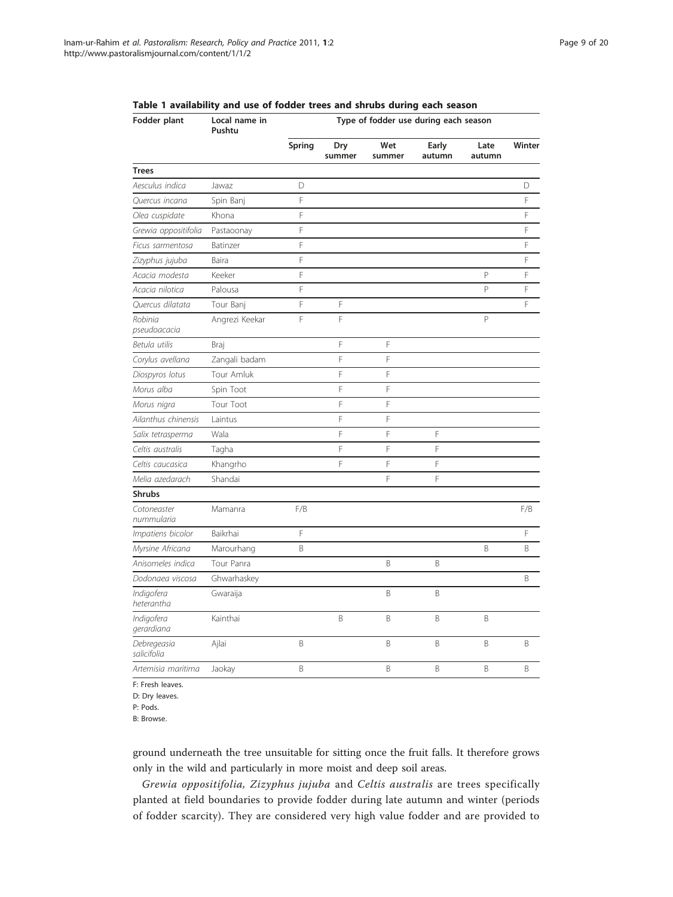| Spring<br>Wet<br>Early<br>Late<br>Dry<br>summer<br>summer<br>autumn<br>autumn<br><b>Trees</b><br>Aesculus indica<br>Jawaz<br>D<br>D<br>F<br>F<br>Quercus incana<br>Spin Banj<br>F<br>F<br>Olea cuspidate<br>Khona<br>F<br>F<br>Grewia oppositifolia<br>Pastaoonay<br>F<br>F<br>Ficus sarmentosa<br>Batinzer<br>F<br>F<br>Zizyphus jujuba<br>Baira<br>F<br>F<br>P<br>Acacia modesta<br>Keeker<br>F<br>F<br>P<br>Acacia nilotica<br>Palousa<br>F<br>F<br>Quercus dilatata<br>Tour Banj<br>F<br>F<br>F<br>P<br>Robinia<br>Angrezi Keekar<br>pseudoacacia<br>F<br>F<br>Betula utilis<br>Braj<br>F<br>F<br>Corylus avellana<br>Zangali badam<br>F<br>F<br>Tour Amluk<br>Diospyros lotus<br>F<br>F<br>Morus alba<br>Spin Toot<br>F<br>F<br>Tour Toot<br>Morus nigra<br>F<br>F<br>Ailanthus chinensis<br>Laintus<br>F<br>F<br>Wala<br>F<br>Salix tetrasperma<br>F<br>F<br>F<br>Celtis australis<br>Tagha<br>F<br>F<br>F<br>Celtis caucasica<br>Khangrho<br>Melia azedarach<br>Shandai<br>F<br>F<br><b>Shrubs</b><br>F/B<br>F/B<br>Cotoneaster<br>Mamanra<br>nummularia<br>F<br>F<br>Impatiens bicolor<br>Baikrhai<br>B<br>B<br>Myrsine Africana<br>Marourhang<br>B<br>Anisomeles indica<br>Tour Panra<br>B<br>B<br>Ghwarhaskey<br>B<br>Dodonaea viscosa<br>B<br>Indigofera<br>B<br>Gwaraija<br>heterantha<br>Indigofera<br>Kainthai<br>B<br>B<br>B<br>B<br>gerardiana<br>Debregeasia<br>B<br>B<br>B<br>B<br>B<br>Ajlai<br>salicifolia<br>B<br>B<br>B<br>B<br>B<br>Artemisia maritima<br>Jaokay | Fodder plant | Local name in<br>Pushtu | Type of fodder use during each season |  |  |  |  |        |  |  |  |  |
|-----------------------------------------------------------------------------------------------------------------------------------------------------------------------------------------------------------------------------------------------------------------------------------------------------------------------------------------------------------------------------------------------------------------------------------------------------------------------------------------------------------------------------------------------------------------------------------------------------------------------------------------------------------------------------------------------------------------------------------------------------------------------------------------------------------------------------------------------------------------------------------------------------------------------------------------------------------------------------------------------------------------------------------------------------------------------------------------------------------------------------------------------------------------------------------------------------------------------------------------------------------------------------------------------------------------------------------------------------------------------------------------------------------------------------------------------------------------------------------------|--------------|-------------------------|---------------------------------------|--|--|--|--|--------|--|--|--|--|
|                                                                                                                                                                                                                                                                                                                                                                                                                                                                                                                                                                                                                                                                                                                                                                                                                                                                                                                                                                                                                                                                                                                                                                                                                                                                                                                                                                                                                                                                                         |              |                         |                                       |  |  |  |  | Winter |  |  |  |  |
|                                                                                                                                                                                                                                                                                                                                                                                                                                                                                                                                                                                                                                                                                                                                                                                                                                                                                                                                                                                                                                                                                                                                                                                                                                                                                                                                                                                                                                                                                         |              |                         |                                       |  |  |  |  |        |  |  |  |  |
|                                                                                                                                                                                                                                                                                                                                                                                                                                                                                                                                                                                                                                                                                                                                                                                                                                                                                                                                                                                                                                                                                                                                                                                                                                                                                                                                                                                                                                                                                         |              |                         |                                       |  |  |  |  |        |  |  |  |  |
|                                                                                                                                                                                                                                                                                                                                                                                                                                                                                                                                                                                                                                                                                                                                                                                                                                                                                                                                                                                                                                                                                                                                                                                                                                                                                                                                                                                                                                                                                         |              |                         |                                       |  |  |  |  |        |  |  |  |  |
|                                                                                                                                                                                                                                                                                                                                                                                                                                                                                                                                                                                                                                                                                                                                                                                                                                                                                                                                                                                                                                                                                                                                                                                                                                                                                                                                                                                                                                                                                         |              |                         |                                       |  |  |  |  |        |  |  |  |  |
|                                                                                                                                                                                                                                                                                                                                                                                                                                                                                                                                                                                                                                                                                                                                                                                                                                                                                                                                                                                                                                                                                                                                                                                                                                                                                                                                                                                                                                                                                         |              |                         |                                       |  |  |  |  |        |  |  |  |  |
|                                                                                                                                                                                                                                                                                                                                                                                                                                                                                                                                                                                                                                                                                                                                                                                                                                                                                                                                                                                                                                                                                                                                                                                                                                                                                                                                                                                                                                                                                         |              |                         |                                       |  |  |  |  |        |  |  |  |  |
|                                                                                                                                                                                                                                                                                                                                                                                                                                                                                                                                                                                                                                                                                                                                                                                                                                                                                                                                                                                                                                                                                                                                                                                                                                                                                                                                                                                                                                                                                         |              |                         |                                       |  |  |  |  |        |  |  |  |  |
|                                                                                                                                                                                                                                                                                                                                                                                                                                                                                                                                                                                                                                                                                                                                                                                                                                                                                                                                                                                                                                                                                                                                                                                                                                                                                                                                                                                                                                                                                         |              |                         |                                       |  |  |  |  |        |  |  |  |  |
|                                                                                                                                                                                                                                                                                                                                                                                                                                                                                                                                                                                                                                                                                                                                                                                                                                                                                                                                                                                                                                                                                                                                                                                                                                                                                                                                                                                                                                                                                         |              |                         |                                       |  |  |  |  |        |  |  |  |  |
|                                                                                                                                                                                                                                                                                                                                                                                                                                                                                                                                                                                                                                                                                                                                                                                                                                                                                                                                                                                                                                                                                                                                                                                                                                                                                                                                                                                                                                                                                         |              |                         |                                       |  |  |  |  |        |  |  |  |  |
|                                                                                                                                                                                                                                                                                                                                                                                                                                                                                                                                                                                                                                                                                                                                                                                                                                                                                                                                                                                                                                                                                                                                                                                                                                                                                                                                                                                                                                                                                         |              |                         |                                       |  |  |  |  |        |  |  |  |  |
|                                                                                                                                                                                                                                                                                                                                                                                                                                                                                                                                                                                                                                                                                                                                                                                                                                                                                                                                                                                                                                                                                                                                                                                                                                                                                                                                                                                                                                                                                         |              |                         |                                       |  |  |  |  |        |  |  |  |  |
|                                                                                                                                                                                                                                                                                                                                                                                                                                                                                                                                                                                                                                                                                                                                                                                                                                                                                                                                                                                                                                                                                                                                                                                                                                                                                                                                                                                                                                                                                         |              |                         |                                       |  |  |  |  |        |  |  |  |  |
|                                                                                                                                                                                                                                                                                                                                                                                                                                                                                                                                                                                                                                                                                                                                                                                                                                                                                                                                                                                                                                                                                                                                                                                                                                                                                                                                                                                                                                                                                         |              |                         |                                       |  |  |  |  |        |  |  |  |  |
|                                                                                                                                                                                                                                                                                                                                                                                                                                                                                                                                                                                                                                                                                                                                                                                                                                                                                                                                                                                                                                                                                                                                                                                                                                                                                                                                                                                                                                                                                         |              |                         |                                       |  |  |  |  |        |  |  |  |  |
|                                                                                                                                                                                                                                                                                                                                                                                                                                                                                                                                                                                                                                                                                                                                                                                                                                                                                                                                                                                                                                                                                                                                                                                                                                                                                                                                                                                                                                                                                         |              |                         |                                       |  |  |  |  |        |  |  |  |  |
|                                                                                                                                                                                                                                                                                                                                                                                                                                                                                                                                                                                                                                                                                                                                                                                                                                                                                                                                                                                                                                                                                                                                                                                                                                                                                                                                                                                                                                                                                         |              |                         |                                       |  |  |  |  |        |  |  |  |  |
|                                                                                                                                                                                                                                                                                                                                                                                                                                                                                                                                                                                                                                                                                                                                                                                                                                                                                                                                                                                                                                                                                                                                                                                                                                                                                                                                                                                                                                                                                         |              |                         |                                       |  |  |  |  |        |  |  |  |  |
|                                                                                                                                                                                                                                                                                                                                                                                                                                                                                                                                                                                                                                                                                                                                                                                                                                                                                                                                                                                                                                                                                                                                                                                                                                                                                                                                                                                                                                                                                         |              |                         |                                       |  |  |  |  |        |  |  |  |  |
|                                                                                                                                                                                                                                                                                                                                                                                                                                                                                                                                                                                                                                                                                                                                                                                                                                                                                                                                                                                                                                                                                                                                                                                                                                                                                                                                                                                                                                                                                         |              |                         |                                       |  |  |  |  |        |  |  |  |  |
|                                                                                                                                                                                                                                                                                                                                                                                                                                                                                                                                                                                                                                                                                                                                                                                                                                                                                                                                                                                                                                                                                                                                                                                                                                                                                                                                                                                                                                                                                         |              |                         |                                       |  |  |  |  |        |  |  |  |  |
|                                                                                                                                                                                                                                                                                                                                                                                                                                                                                                                                                                                                                                                                                                                                                                                                                                                                                                                                                                                                                                                                                                                                                                                                                                                                                                                                                                                                                                                                                         |              |                         |                                       |  |  |  |  |        |  |  |  |  |
|                                                                                                                                                                                                                                                                                                                                                                                                                                                                                                                                                                                                                                                                                                                                                                                                                                                                                                                                                                                                                                                                                                                                                                                                                                                                                                                                                                                                                                                                                         |              |                         |                                       |  |  |  |  |        |  |  |  |  |
|                                                                                                                                                                                                                                                                                                                                                                                                                                                                                                                                                                                                                                                                                                                                                                                                                                                                                                                                                                                                                                                                                                                                                                                                                                                                                                                                                                                                                                                                                         |              |                         |                                       |  |  |  |  |        |  |  |  |  |
|                                                                                                                                                                                                                                                                                                                                                                                                                                                                                                                                                                                                                                                                                                                                                                                                                                                                                                                                                                                                                                                                                                                                                                                                                                                                                                                                                                                                                                                                                         |              |                         |                                       |  |  |  |  |        |  |  |  |  |
|                                                                                                                                                                                                                                                                                                                                                                                                                                                                                                                                                                                                                                                                                                                                                                                                                                                                                                                                                                                                                                                                                                                                                                                                                                                                                                                                                                                                                                                                                         |              |                         |                                       |  |  |  |  |        |  |  |  |  |
|                                                                                                                                                                                                                                                                                                                                                                                                                                                                                                                                                                                                                                                                                                                                                                                                                                                                                                                                                                                                                                                                                                                                                                                                                                                                                                                                                                                                                                                                                         |              |                         |                                       |  |  |  |  |        |  |  |  |  |
|                                                                                                                                                                                                                                                                                                                                                                                                                                                                                                                                                                                                                                                                                                                                                                                                                                                                                                                                                                                                                                                                                                                                                                                                                                                                                                                                                                                                                                                                                         |              |                         |                                       |  |  |  |  |        |  |  |  |  |
|                                                                                                                                                                                                                                                                                                                                                                                                                                                                                                                                                                                                                                                                                                                                                                                                                                                                                                                                                                                                                                                                                                                                                                                                                                                                                                                                                                                                                                                                                         |              |                         |                                       |  |  |  |  |        |  |  |  |  |
|                                                                                                                                                                                                                                                                                                                                                                                                                                                                                                                                                                                                                                                                                                                                                                                                                                                                                                                                                                                                                                                                                                                                                                                                                                                                                                                                                                                                                                                                                         |              |                         |                                       |  |  |  |  |        |  |  |  |  |
|                                                                                                                                                                                                                                                                                                                                                                                                                                                                                                                                                                                                                                                                                                                                                                                                                                                                                                                                                                                                                                                                                                                                                                                                                                                                                                                                                                                                                                                                                         |              |                         |                                       |  |  |  |  |        |  |  |  |  |

<span id="page-8-0"></span>Table 1 availability and use of fodder trees and shrubs during each season

F: Fresh leaves.

D: Dry leaves.

P: Pods.

B: Browse.

ground underneath the tree unsuitable for sitting once the fruit falls. It therefore grows only in the wild and particularly in more moist and deep soil areas.

Grewia oppositifolia, Zizyphus jujuba and Celtis australis are trees specifically planted at field boundaries to provide fodder during late autumn and winter (periods of fodder scarcity). They are considered very high value fodder and are provided to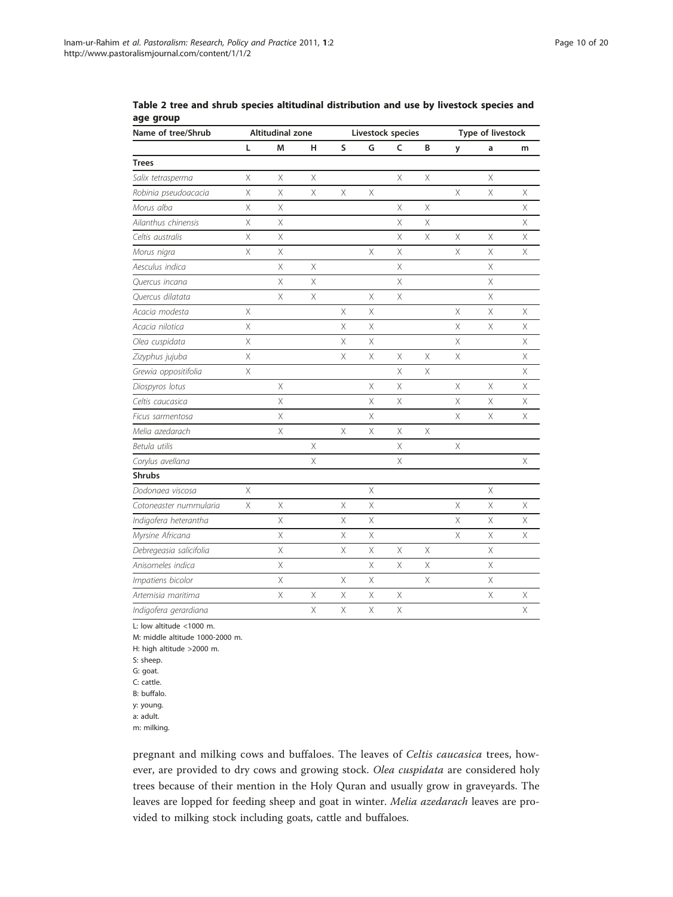| Name of tree/Shrub      | Altitudinal zone |             |             | Livestock species |             |             |             | Type of livestock |          |   |
|-------------------------|------------------|-------------|-------------|-------------------|-------------|-------------|-------------|-------------------|----------|---|
|                         | г                | M           | н           | S                 | G           | C           | В           | У                 | a        | m |
| Trees                   |                  |             |             |                   |             |             |             |                   |          |   |
| Salix tetrasperma       | Χ                | Χ           | Χ           |                   |             | Χ           | Χ           |                   | Χ        |   |
| Robinia pseudoacacia    | X                | X           | X           | $\mathsf X$       | $\mathsf X$ |             |             | Χ                 | X        | Χ |
| Morus alba              | Χ                | $\times$    |             |                   |             | X           | $\times$    |                   |          | X |
| Ailanthus chinensis     | Χ                | Χ           |             |                   |             | X           | Χ           |                   |          | Χ |
| Celtis australis        | X                | Χ           |             |                   |             | X           | Χ           | Χ                 | Χ        | X |
| Morus nigra             | X                | $\mathsf X$ |             |                   | $\mathsf X$ | X           |             | Χ                 | Χ        | Χ |
| Aesculus indica         |                  | X           | X           |                   |             | X           |             |                   | Χ        |   |
| Quercus incana          |                  | $\mathsf X$ | Χ           |                   |             | Χ           |             |                   | Χ        |   |
| Quercus dilatata        |                  | Χ           | Χ           |                   | Χ           | Χ           |             |                   | Χ        |   |
| Acacia modesta          | Χ                |             |             | Χ                 | X           |             |             | Χ                 | Χ        | Χ |
| Acacia nilotica         | X                |             |             | X                 | X           |             |             | X                 | Χ        | X |
| Olea cuspidata          | X                |             |             | Χ                 | Χ           |             |             | X                 |          | Χ |
| Zizyphus jujuba         | Χ                |             |             | Χ                 | Χ           | Χ           | Χ           | Χ                 |          | X |
| Grewia oppositifolia    | X                |             |             |                   |             | X           | X           |                   |          | Χ |
| Diospyros lotus         |                  | X           |             |                   | X           | X           |             | X                 | X        | Χ |
| Celtis caucasica        |                  | $\mathsf X$ |             |                   | X           | Χ           |             | X                 | X        | Χ |
| Ficus sarmentosa        |                  | $\times$    |             |                   | $\times$    |             |             | X                 | X        | X |
| Melia azedarach         |                  | $\times$    |             | $\times$          | $\times$    | $\times$    | $\times$    |                   |          |   |
| Betula utilis           |                  |             | $\times$    |                   |             | X           |             | Χ                 |          |   |
| Corylus avellana        |                  |             | X           |                   |             | X           |             |                   |          | Χ |
| <b>Shrubs</b>           |                  |             |             |                   |             |             |             |                   |          |   |
| Dodonaea viscosa        | X                |             |             |                   | X           |             |             |                   | X        |   |
| Cotoneaster nummularia  | X                | X           |             | Χ                 | $\times$    |             |             | $\times$          | X        | X |
| Indigofera heterantha   |                  | X           |             | Χ                 | X           |             |             | X                 | X        | Χ |
| Myrsine Africana        |                  | $\mathsf X$ |             | $\times$          | X           |             |             | X                 | X        | X |
| Debregeasia salicifolia |                  | $\mathsf X$ |             | Χ                 | $\mathsf X$ | X           | $\mathsf X$ |                   | $\times$ |   |
| Anisomeles indica       |                  | $\mathsf X$ |             |                   | $\mathsf X$ | Χ           | Χ           |                   | Χ        |   |
| Impatiens bicolor       |                  | Χ           |             | Χ                 | Χ           |             | Χ           |                   | Χ        |   |
| Artemisia maritima      |                  | $\mathsf X$ | Χ           | Χ                 | $\mathsf X$ | Χ           |             |                   | $\times$ | Χ |
| Indigofera gerardiana   |                  |             | $\mathsf X$ | $\times$          | $\times$    | $\mathsf X$ |             |                   |          | Χ |

<span id="page-9-0"></span>Table 2 tree and shrub species altitudinal distribution and use by livestock species and age group

L: low altitude <1000 m.

M: middle altitude 1000-2000 m.

H: high altitude >2000 m.

S: sheep.

G: goat.

C: cattle.

B: buffalo.

y: young.

a: adult.

m: milking.

pregnant and milking cows and buffaloes. The leaves of Celtis caucasica trees, however, are provided to dry cows and growing stock. Olea cuspidata are considered holy trees because of their mention in the Holy Quran and usually grow in graveyards. The leaves are lopped for feeding sheep and goat in winter. Melia azedarach leaves are provided to milking stock including goats, cattle and buffaloes.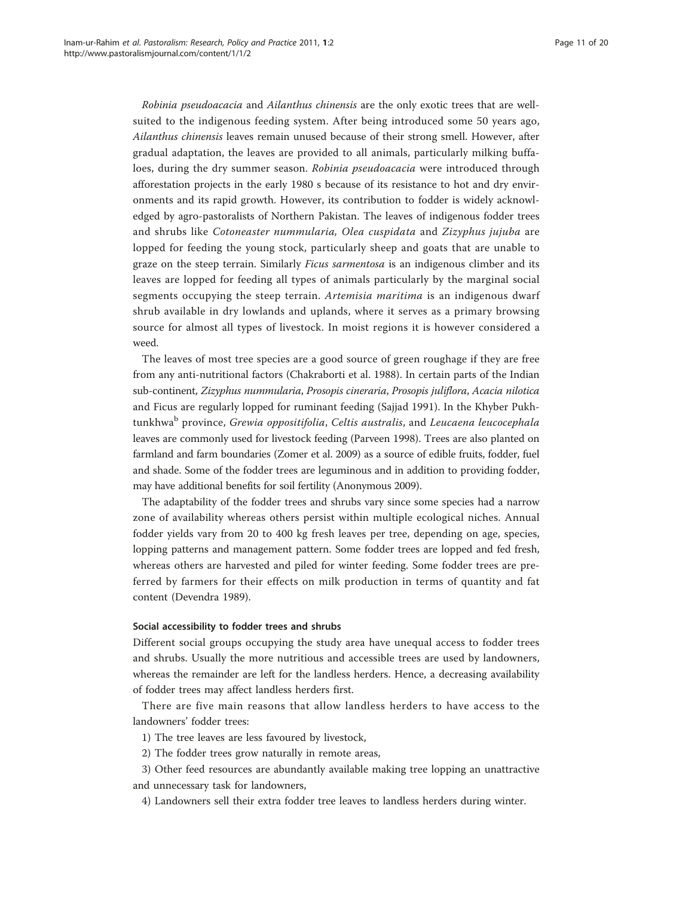Robinia pseudoacacia and Ailanthus chinensis are the only exotic trees that are wellsuited to the indigenous feeding system. After being introduced some 50 years ago, Ailanthus chinensis leaves remain unused because of their strong smell. However, after gradual adaptation, the leaves are provided to all animals, particularly milking buffaloes, during the dry summer season. Robinia pseudoacacia were introduced through afforestation projects in the early 1980 s because of its resistance to hot and dry environments and its rapid growth. However, its contribution to fodder is widely acknowledged by agro-pastoralists of Northern Pakistan. The leaves of indigenous fodder trees and shrubs like Cotoneaster nummularia, Olea cuspidata and Zizyphus jujuba are lopped for feeding the young stock, particularly sheep and goats that are unable to graze on the steep terrain. Similarly *Ficus sarmentosa* is an indigenous climber and its leaves are lopped for feeding all types of animals particularly by the marginal social segments occupying the steep terrain. Artemisia maritima is an indigenous dwarf shrub available in dry lowlands and uplands, where it serves as a primary browsing source for almost all types of livestock. In moist regions it is however considered a weed.

The leaves of most tree species are a good source of green roughage if they are free from any anti-nutritional factors ([Chakraborti et al. 1988\)](#page-18-0). In certain parts of the Indian sub-continent, Zizyphus nummularia, Prosopis cineraria, Prosopis juliflora, Acacia nilotica and Ficus are regularly lopped for ruminant feeding [\(Sajjad 1991](#page-18-0)). In the Khyber Pukhtunkhwa<sup>b</sup> province, Grewia oppositifolia, Celtis australis, and Leucaena leucocephala leaves are commonly used for livestock feeding [\(Parveen 1998](#page-18-0)). Trees are also planted on farmland and farm boundaries [\(Zomer et al. 2009](#page-19-0)) as a source of edible fruits, fodder, fuel and shade. Some of the fodder trees are leguminous and in addition to providing fodder, may have additional benefits for soil fertility ([Anonymous 2009](#page-18-0)).

The adaptability of the fodder trees and shrubs vary since some species had a narrow zone of availability whereas others persist within multiple ecological niches. Annual fodder yields vary from 20 to 400 kg fresh leaves per tree, depending on age, species, lopping patterns and management pattern. Some fodder trees are lopped and fed fresh, whereas others are harvested and piled for winter feeding. Some fodder trees are preferred by farmers for their effects on milk production in terms of quantity and fat content ([Devendra 1989\)](#page-18-0).

#### Social accessibility to fodder trees and shrubs

Different social groups occupying the study area have unequal access to fodder trees and shrubs. Usually the more nutritious and accessible trees are used by landowners, whereas the remainder are left for the landless herders. Hence, a decreasing availability of fodder trees may affect landless herders first.

There are five main reasons that allow landless herders to have access to the landowners' fodder trees:

1) The tree leaves are less favoured by livestock,

2) The fodder trees grow naturally in remote areas,

3) Other feed resources are abundantly available making tree lopping an unattractive and unnecessary task for landowners,

4) Landowners sell their extra fodder tree leaves to landless herders during winter.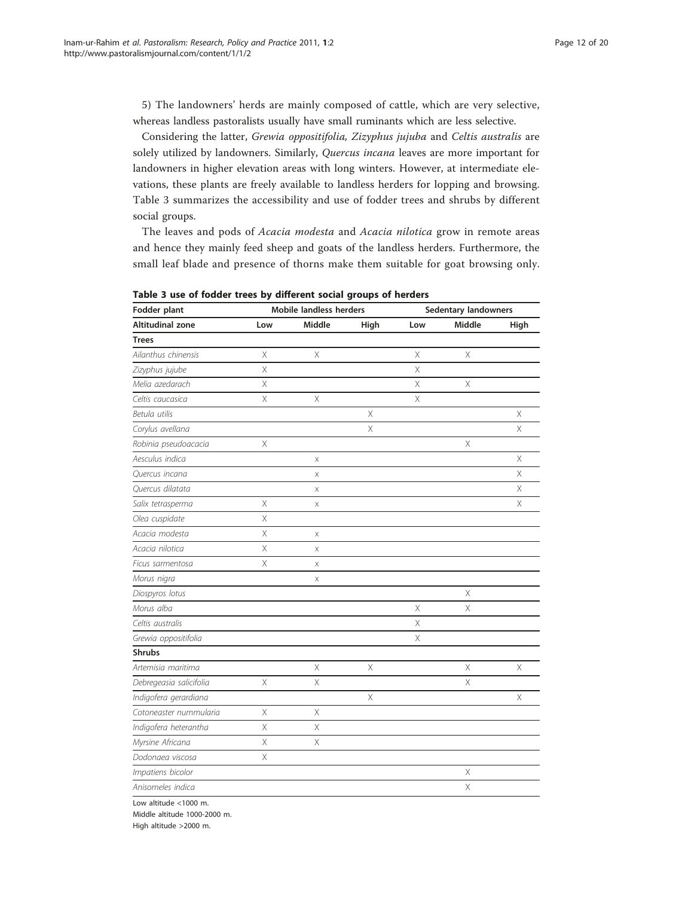5) The landowners' herds are mainly composed of cattle, which are very selective, whereas landless pastoralists usually have small ruminants which are less selective.

Considering the latter, Grewia oppositifolia, Zizyphus jujuba and Celtis australis are solely utilized by landowners. Similarly, Quercus incana leaves are more important for landowners in higher elevation areas with long winters. However, at intermediate elevations, these plants are freely available to landless herders for lopping and browsing. Table 3 summarizes the accessibility and use of fodder trees and shrubs by different social groups.

The leaves and pods of Acacia modesta and Acacia nilotica grow in remote areas and hence they mainly feed sheep and goats of the landless herders. Furthermore, the small leaf blade and presence of thorns make them suitable for goat browsing only.

| Fodder plant                |             | Mobile landless herders |             | Sedentary landowners |             |             |  |
|-----------------------------|-------------|-------------------------|-------------|----------------------|-------------|-------------|--|
| Altitudinal zone            | Low         | Middle                  | High        | Low                  | Middle      | High        |  |
| <b>Trees</b>                |             |                         |             |                      |             |             |  |
| Ailanthus chinensis         | Χ           | Χ                       |             | Χ                    | $\mathsf X$ |             |  |
| Zizyphus jujube             | X           |                         |             | X                    |             |             |  |
| Melia azedarach             | Χ           |                         |             | Χ                    | $\mathsf X$ |             |  |
| Celtis caucasica            | X           | Χ                       |             | X                    |             |             |  |
| Betula utilis               |             |                         | Χ           |                      |             | Χ           |  |
| Corylus avellana            |             |                         | Χ           |                      |             | Χ           |  |
| Robinia pseudoacacia        | Χ           |                         |             |                      | Χ           |             |  |
| Aesculus indica             |             | Χ                       |             |                      |             | Х           |  |
| Quercus incana              |             | X                       |             |                      |             | X           |  |
| Quercus dilatata            |             | Χ                       |             |                      |             | Χ           |  |
| Salix tetrasperma           | $\mathsf X$ | Χ                       |             |                      |             | X           |  |
| Olea cuspidate              | Χ           |                         |             |                      |             |             |  |
| Acacia modesta              | X           | X                       |             |                      |             |             |  |
| Acacia nilotica             | Χ           | Χ                       |             |                      |             |             |  |
| Ficus sarmentosa            | Χ           | Χ                       |             |                      |             |             |  |
| Morus nigra                 |             | X                       |             |                      |             |             |  |
| Diospyros lotus             |             |                         |             |                      | Χ           |             |  |
| Morus alba                  |             |                         |             | Χ                    | Χ           |             |  |
| Celtis australis            |             |                         |             | Χ                    |             |             |  |
| Grewia oppositifolia        |             |                         |             | Χ                    |             |             |  |
| Shrubs                      |             |                         |             |                      |             |             |  |
| Artemisia maritima          |             | X                       | $\times$    |                      | X           | $\times$    |  |
| Debregeasia salicifolia     | Χ           | X                       |             |                      | Χ           |             |  |
| Indigofera gerardiana       |             |                         | $\mathsf X$ |                      |             | $\mathsf X$ |  |
| Cotoneaster nummularia      | Χ           | Χ                       |             |                      |             |             |  |
| Indigofera heterantha       | Χ           | Χ                       |             |                      |             |             |  |
| Myrsine Africana            | Χ           | Χ                       |             |                      |             |             |  |
| Dodonaea viscosa            | Χ           |                         |             |                      |             |             |  |
| Impatiens bicolor           |             |                         |             |                      | Χ           |             |  |
| Anisomeles indica           |             |                         |             |                      | Χ           |             |  |
| $l_{out}$ altitude $(1000,$ |             |                         |             |                      |             |             |  |

Table 3 use of fodder trees by different social groups of herders

Low altitude <1000 m.

Middle altitude 1000-2000 m.

High altitude >2000 m.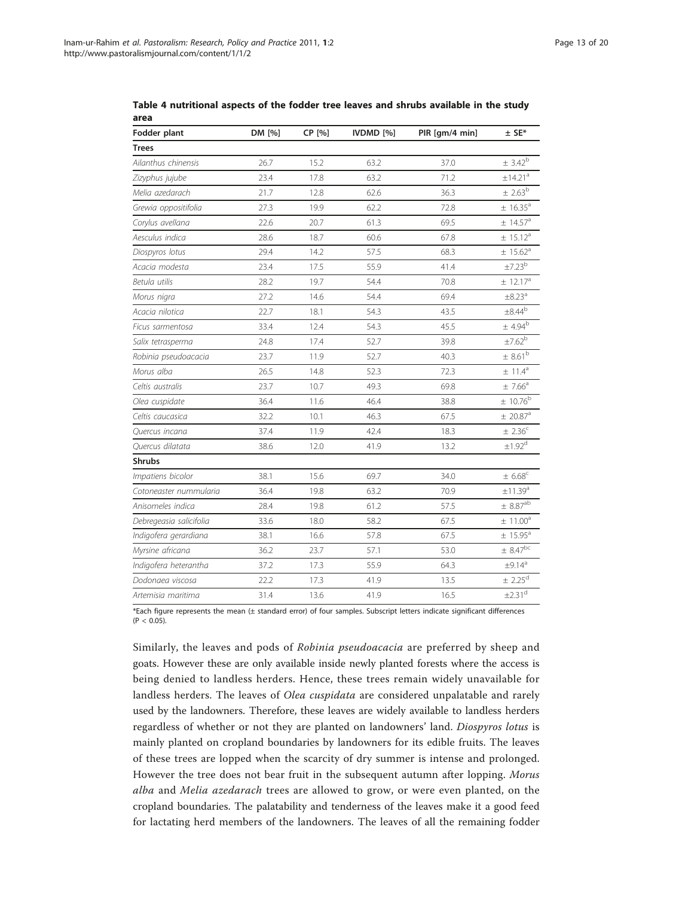<span id="page-12-0"></span>

|      | Table 4 nutritional aspects of the fodder tree leaves and shrubs available in the study |  |  |  |  |  |
|------|-----------------------------------------------------------------------------------------|--|--|--|--|--|
| area |                                                                                         |  |  |  |  |  |

| Fodder plant            | DM [%] | CP [%] | IVDMD [%] | PIR [gm/4 min] | $±$ SE*                  |
|-------------------------|--------|--------|-----------|----------------|--------------------------|
| <b>Trees</b>            |        |        |           |                |                          |
| Ailanthus chinensis     | 26.7   | 15.2   | 63.2      | 37.0           | $\pm$ 3.42 <sup>b</sup>  |
| Zizyphus jujube         | 23.4   | 17.8   | 63.2      | 71.2           | ±14.21 <sup>a</sup>      |
| Melia azedarach         | 21.7   | 12.8   | 62.6      | 36.3           | ± 2.63 <sup>b</sup>      |
| Grewia oppositifolia    | 27.3   | 19.9   | 62.2      | 72.8           | ± 16.35 <sup>a</sup>     |
| Corylus avellana        | 22.6   | 20.7   | 61.3      | 69.5           | ± 14.57 <sup>a</sup>     |
| Aesculus indica         | 28.6   | 18.7   | 60.6      | 67.8           | ± 15.12 <sup>a</sup>     |
| Diospyros lotus         | 29.4   | 14.2   | 57.5      | 68.3           | ± 15.62 <sup>a</sup>     |
| Acacia modesta          | 23.4   | 17.5   | 55.9      | 41.4           | ±7.23 <sup>b</sup>       |
| Betula utilis           | 28.2   | 19.7   | 54.4      | 70.8           | ± 12.17 <sup>a</sup>     |
| Morus nigra             | 27.2   | 14.6   | 54.4      | 69.4           | $\pm$ 8.23 <sup>a</sup>  |
| Acacia nilotica         | 22.7   | 18.1   | 54.3      | 43.5           | $\pm 8.44^{\rm b}$       |
| Ficus sarmentosa        | 33.4   | 12.4   | 54.3      | 45.5           | $± 4.94^b$               |
| Salix tetrasperma       | 24.8   | 17.4   | 52.7      | 39.8           | $\pm 7.62^b$             |
| Robinia pseudoacacia    | 23.7   | 11.9   | 52.7      | 40.3           | $\pm 8.61^{\mathrm{b}}$  |
| Morus alba              | 26.5   | 14.8   | 52.3      | 72.3           | ± 11.4 <sup>a</sup>      |
| Celtis australis        | 23.7   | 10.7   | 49.3      | 69.8           | $\pm 7.66^a$             |
| Olea cuspidate          | 36.4   | 11.6   | 46.4      | 38.8           | $± 10.76^b$              |
| Celtis caucasica        | 32.2   | 10.1   | 46.3      | 67.5           | ± 20.87 <sup>a</sup>     |
| Quercus incana          | 37.4   | 11.9   | 42.4      | 18.3           | $\pm 2.36^c$             |
| Quercus dilatata        | 38.6   | 12.0   | 41.9      | 13.2           | $\pm 1.92^d$             |
| <b>Shrubs</b>           |        |        |           |                |                          |
| Impatiens bicolor       | 38.1   | 15.6   | 69.7      | 34.0           | $\pm 6.68^{\circ}$       |
| Cotoneaster nummularia  | 36.4   | 19.8   | 63.2      | 70.9           | ±11.39 <sup>a</sup>      |
| Anisomeles indica       | 28.4   | 19.8   | 61.2      | 57.5           | $\pm 8.87$ <sup>ab</sup> |
| Debregeasia salicifolia | 33.6   | 18.0   | 58.2      | 67.5           | ± 11.00 <sup>a</sup>     |
| Indigofera gerardiana   | 38.1   | 16.6   | 57.8      | 67.5           | ± 15.95 <sup>a</sup>     |
| Myrsine africana        | 36.2   | 23.7   | 57.1      | 53.0           | $\pm$ 8.47 <sup>bc</sup> |
| Indigofera heterantha   | 37.2   | 17.3   | 55.9      | 64.3           | $\pm 9.14$ <sup>a</sup>  |
| Dodonaea viscosa        | 22.2   | 17.3   | 41.9      | 13.5           | $\pm 2.25^{\text{d}}$    |
| Artemisia maritima      | 31.4   | 13.6   | 41.9      | 16.5           | $\pm 2.31$ <sup>d</sup>  |

\*Each figure represents the mean (± standard error) of four samples. Subscript letters indicate significant differences  $(P < 0.05)$ .

Similarly, the leaves and pods of Robinia pseudoacacia are preferred by sheep and goats. However these are only available inside newly planted forests where the access is being denied to landless herders. Hence, these trees remain widely unavailable for landless herders. The leaves of Olea cuspidata are considered unpalatable and rarely used by the landowners. Therefore, these leaves are widely available to landless herders regardless of whether or not they are planted on landowners' land. Diospyros lotus is mainly planted on cropland boundaries by landowners for its edible fruits. The leaves of these trees are lopped when the scarcity of dry summer is intense and prolonged. However the tree does not bear fruit in the subsequent autumn after lopping. Morus alba and Melia azedarach trees are allowed to grow, or were even planted, on the cropland boundaries. The palatability and tenderness of the leaves make it a good feed for lactating herd members of the landowners. The leaves of all the remaining fodder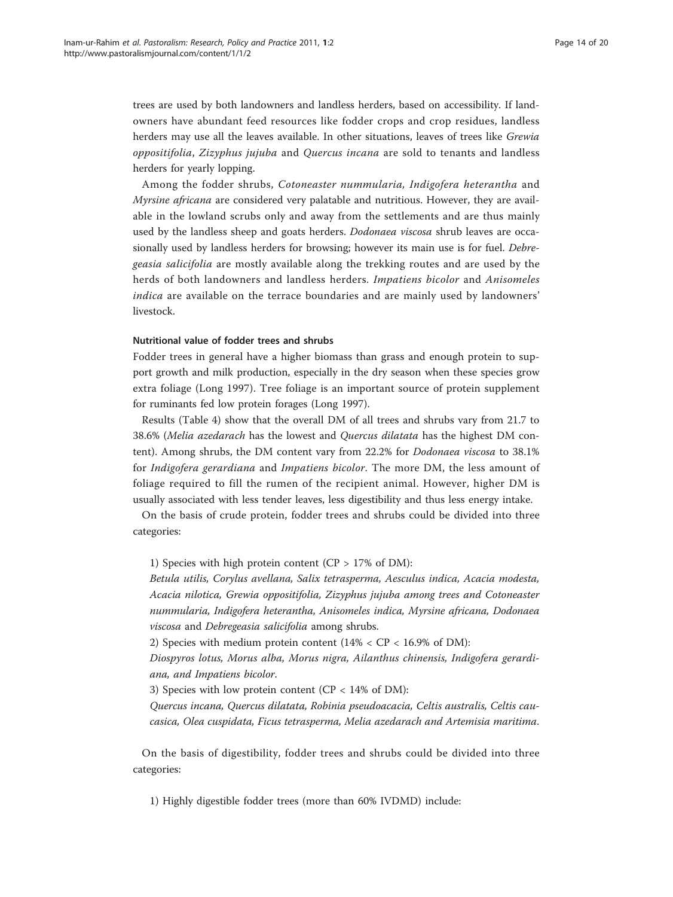trees are used by both landowners and landless herders, based on accessibility. If landowners have abundant feed resources like fodder crops and crop residues, landless herders may use all the leaves available. In other situations, leaves of trees like Grewia oppositifolia, Zizyphus jujuba and Quercus incana are sold to tenants and landless herders for yearly lopping.

Among the fodder shrubs, Cotoneaster nummularia, Indigofera heterantha and Myrsine africana are considered very palatable and nutritious. However, they are available in the lowland scrubs only and away from the settlements and are thus mainly used by the landless sheep and goats herders. *Dodonaea viscosa* shrub leaves are occasionally used by landless herders for browsing; however its main use is for fuel. Debregeasia salicifolia are mostly available along the trekking routes and are used by the herds of both landowners and landless herders. Impatiens bicolor and Anisomeles indica are available on the terrace boundaries and are mainly used by landowners' livestock.

#### Nutritional value of fodder trees and shrubs

Fodder trees in general have a higher biomass than grass and enough protein to support growth and milk production, especially in the dry season when these species grow extra foliage [\(Long 1997\)](#page-18-0). Tree foliage is an important source of protein supplement for ruminants fed low protein forages ([Long 1997](#page-18-0)).

Results (Table [4\)](#page-12-0) show that the overall DM of all trees and shrubs vary from 21.7 to 38.6% (Melia azedarach has the lowest and Quercus dilatata has the highest DM content). Among shrubs, the DM content vary from 22.2% for Dodonaea viscosa to 38.1% for Indigofera gerardiana and Impatiens bicolor. The more DM, the less amount of foliage required to fill the rumen of the recipient animal. However, higher DM is usually associated with less tender leaves, less digestibility and thus less energy intake.

On the basis of crude protein, fodder trees and shrubs could be divided into three categories:

1) Species with high protein content ( $CP > 17\%$  of DM):

Betula utilis, Corylus avellana, Salix tetrasperma, Aesculus indica, Acacia modesta, Acacia nilotica, Grewia oppositifolia, Zizyphus jujuba among trees and Cotoneaster nummularia, Indigofera heterantha, Anisomeles indica, Myrsine africana, Dodonaea viscosa and Debregeasia salicifolia among shrubs.

2) Species with medium protein content  $(14\% \times CP \times 16.9\% \text{ of DM})$ :

Diospyros lotus, Morus alba, Morus nigra, Ailanthus chinensis, Indigofera gerardiana, and Impatiens bicolor.

3) Species with low protein content ( $CP < 14\%$  of DM):

Quercus incana, Quercus dilatata, Robinia pseudoacacia, Celtis australis, Celtis caucasica, Olea cuspidata, Ficus tetrasperma, Melia azedarach and Artemisia maritima.

On the basis of digestibility, fodder trees and shrubs could be divided into three categories:

1) Highly digestible fodder trees (more than 60% IVDMD) include: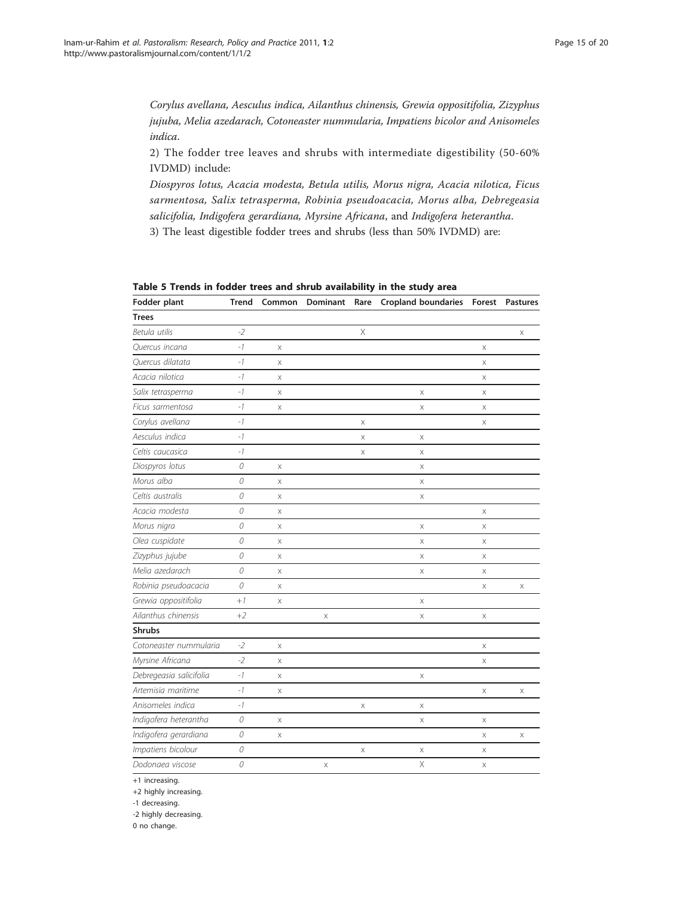<span id="page-14-0"></span>Corylus avellana, Aesculus indica, Ailanthus chinensis, Grewia oppositifolia, Zizyphus jujuba, Melia azedarach, Cotoneaster nummularia, Impatiens bicolor and Anisomeles indica.

2) The fodder tree leaves and shrubs with intermediate digestibility (50-60% IVDMD) include:

Diospyros lotus, Acacia modesta, Betula utilis, Morus nigra, Acacia nilotica, Ficus sarmentosa, Salix tetrasperma, Robinia pseudoacacia, Morus alba, Debregeasia salicifolia, Indigofera gerardiana, Myrsine Africana, and Indigofera heterantha.

3) The least digestible fodder trees and shrubs (less than 50% IVDMD) are:

| Fodder plant            | <b>Trend</b> | Common                | Dominant Rare |             | Cropland boundaries Forest |   | Pastures              |
|-------------------------|--------------|-----------------------|---------------|-------------|----------------------------|---|-----------------------|
| <b>Trees</b>            |              |                       |               |             |                            |   |                       |
| Betula utilis           | $-2$         |                       |               | Χ           |                            |   | X                     |
| Quercus incana          | -1           | X                     |               |             |                            | X |                       |
| Quercus dilatata        | -1           | X                     |               |             |                            | Χ |                       |
| Acacia nilotica         | $-1$         | X                     |               |             |                            | Χ |                       |
| Salix tetrasperma       | -1           | Χ                     |               |             | Χ                          | Χ |                       |
| Ficus sarmentosa        | -1           | Χ                     |               |             | X                          | Χ |                       |
| Corylus avellana        | $-1$         |                       |               | X           |                            | Χ |                       |
| Aesculus indica         | $-1$         |                       |               | X           | Χ                          |   |                       |
| Celtis caucasica        | $-1$         |                       |               | Χ           | Χ                          |   |                       |
| Diospyros lotus         | 0            | $\mathsf X$           |               |             | Χ                          |   |                       |
| Morus alba              | 0            | X                     |               |             | X                          |   |                       |
| Celtis australis        | 0            | X                     |               |             | X                          |   |                       |
| Acacia modesta          | 0            | $\boldsymbol{\times}$ |               |             |                            | X |                       |
| Morus nigra             | 0            | X                     |               |             | Χ                          | Χ |                       |
| Olea cuspidate          | 0            | X                     |               |             | X                          | Χ |                       |
| Zizyphus jujube         | 0            | X                     |               |             | Χ                          | Χ |                       |
| Melia azedarach         | 0            | Χ                     |               |             | Χ                          | X |                       |
| Robinia pseudoacacia    | 0            | X                     |               |             |                            | X | X                     |
| Grewia oppositifolia    | $+1$         | X                     |               |             | X                          |   |                       |
| Ailanthus chinensis     | $+2$         |                       | $\mathsf X$   |             | Χ                          | Χ |                       |
| <b>Shrubs</b>           |              |                       |               |             |                            |   |                       |
| Cotoneaster nummularia  | -2           | X                     |               |             |                            | Χ |                       |
| Myrsine Africana        | $-2$         | $\boldsymbol{\times}$ |               |             |                            | X |                       |
| Debregeasia salicifolia | $-1$         | X                     |               |             | Χ                          |   |                       |
| Artemisia maritime      | $-1$         | X                     |               |             |                            | Χ | $\boldsymbol{\times}$ |
| Anisomeles indica       | $-1$         |                       |               | $\mathsf X$ | Χ                          |   |                       |
| Indigofera heterantha   | 0            | X                     |               |             | X                          | Χ |                       |
| Indigofera gerardiana   | 0            | X                     |               |             |                            | Χ | X                     |
| Impatiens bicolour      | 0            |                       |               | Χ           | Χ                          | Χ |                       |
| Dodonaea viscose        | 0            |                       | $\mathsf X$   |             | X                          | Χ |                       |

Table 5 Trends in fodder trees and shrub availability in the study area

+1 increasing.

+2 highly increasing.

-1 decreasing.

-2 highly decreasing.

0 no change.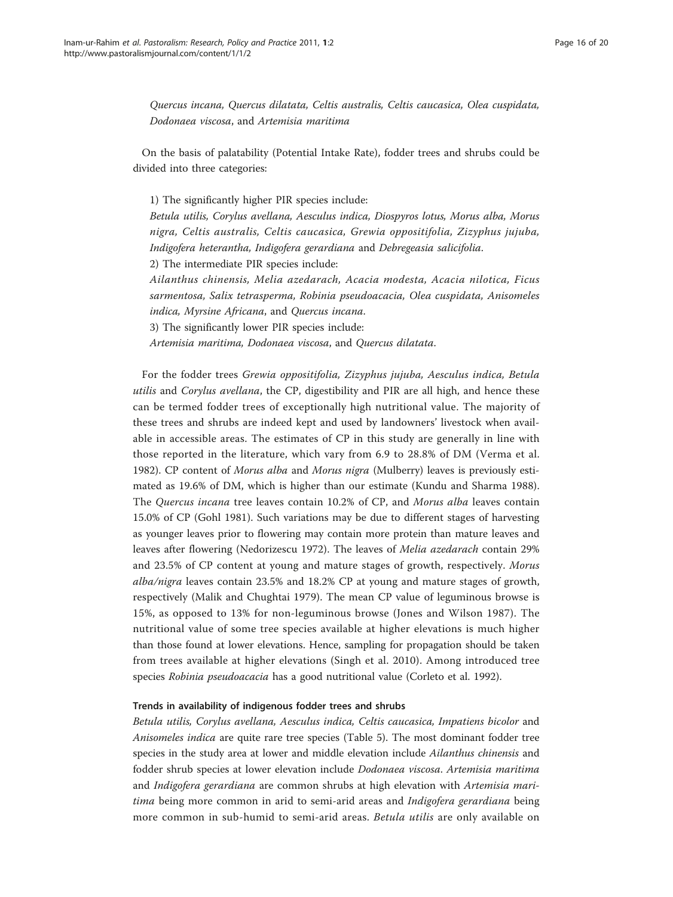Quercus incana, Quercus dilatata, Celtis australis, Celtis caucasica, Olea cuspidata, Dodonaea viscosa, and Artemisia maritima

On the basis of palatability (Potential Intake Rate), fodder trees and shrubs could be divided into three categories:

1) The significantly higher PIR species include:

Betula utilis, Corylus avellana, Aesculus indica, Diospyros lotus, Morus alba, Morus nigra, Celtis australis, Celtis caucasica, Grewia oppositifolia, Zizyphus jujuba, Indigofera heterantha, Indigofera gerardiana and Debregeasia salicifolia.

2) The intermediate PIR species include:

Ailanthus chinensis, Melia azedarach, Acacia modesta, Acacia nilotica, Ficus sarmentosa, Salix tetrasperma, Robinia pseudoacacia, Olea cuspidata, Anisomeles indica, Myrsine Africana, and Quercus incana.

3) The significantly lower PIR species include:

Artemisia maritima, Dodonaea viscosa, and Quercus dilatata.

For the fodder trees Grewia oppositifolia, Zizyphus jujuba, Aesculus indica, Betula utilis and Corylus avellana, the CP, digestibility and PIR are all high, and hence these can be termed fodder trees of exceptionally high nutritional value. The majority of these trees and shrubs are indeed kept and used by landowners' livestock when available in accessible areas. The estimates of CP in this study are generally in line with those reported in the literature, which vary from 6.9 to 28.8% of DM ([Verma et al.](#page-19-0) [1982](#page-19-0)). CP content of Morus alba and Morus nigra (Mulberry) leaves is previously estimated as 19.6% of DM, which is higher than our estimate ([Kundu and Sharma 1988](#page-18-0)). The Quercus incana tree leaves contain 10.2% of CP, and Morus alba leaves contain 15.0% of CP [\(Gohl 1981\)](#page-18-0). Such variations may be due to different stages of harvesting as younger leaves prior to flowering may contain more protein than mature leaves and leaves after flowering [\(Nedorizescu 1972](#page-18-0)). The leaves of Melia azedarach contain 29% and 23.5% of CP content at young and mature stages of growth, respectively. Morus alba/nigra leaves contain 23.5% and 18.2% CP at young and mature stages of growth, respectively ([Malik and Chughtai 1979](#page-18-0)). The mean CP value of leguminous browse is 15%, as opposed to 13% for non-leguminous browse [\(Jones and Wilson 1987\)](#page-18-0). The nutritional value of some tree species available at higher elevations is much higher than those found at lower elevations. Hence, sampling for propagation should be taken from trees available at higher elevations ([Singh et al. 2010](#page-18-0)). Among introduced tree species Robinia pseudoacacia has a good nutritional value ([Corleto et al. 1992\)](#page-18-0).

#### Trends in availability of indigenous fodder trees and shrubs

Betula utilis, Corylus avellana, Aesculus indica, Celtis caucasica, Impatiens bicolor and Anisomeles indica are quite rare tree species (Table [5](#page-14-0)). The most dominant fodder tree species in the study area at lower and middle elevation include Ailanthus chinensis and fodder shrub species at lower elevation include Dodonaea viscosa. Artemisia maritima and Indigofera gerardiana are common shrubs at high elevation with Artemisia maritima being more common in arid to semi-arid areas and Indigofera gerardiana being more common in sub-humid to semi-arid areas. Betula utilis are only available on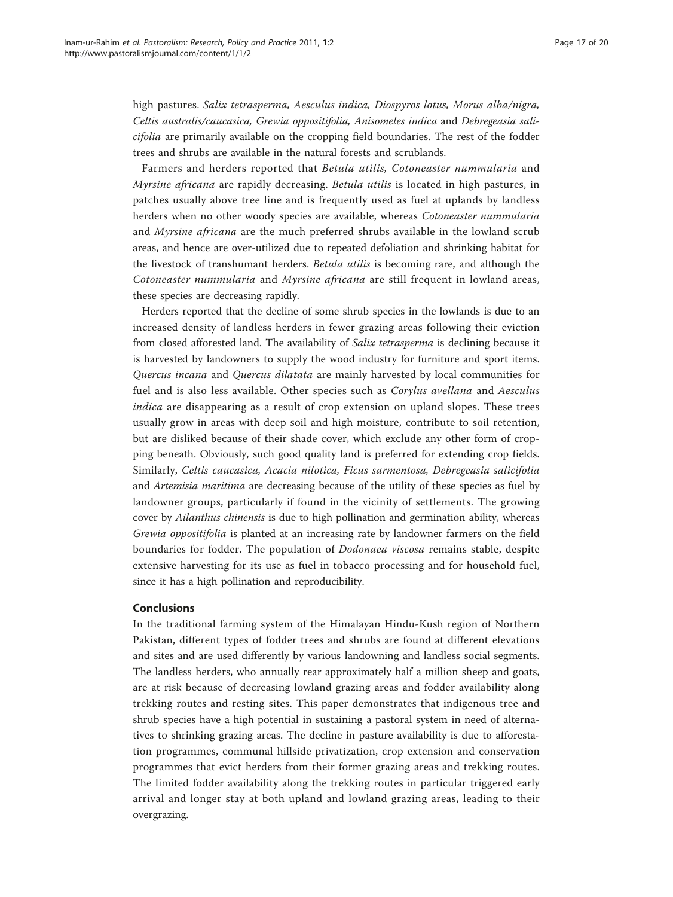high pastures. Salix tetrasperma, Aesculus indica, Diospyros lotus, Morus alba/nigra, Celtis australis/caucasica, Grewia oppositifolia, Anisomeles indica and Debregeasia salicifolia are primarily available on the cropping field boundaries. The rest of the fodder trees and shrubs are available in the natural forests and scrublands.

Farmers and herders reported that Betula utilis, Cotoneaster nummularia and Myrsine africana are rapidly decreasing. Betula utilis is located in high pastures, in patches usually above tree line and is frequently used as fuel at uplands by landless herders when no other woody species are available, whereas Cotoneaster nummularia and Myrsine africana are the much preferred shrubs available in the lowland scrub areas, and hence are over-utilized due to repeated defoliation and shrinking habitat for the livestock of transhumant herders. Betula utilis is becoming rare, and although the Cotoneaster nummularia and Myrsine africana are still frequent in lowland areas, these species are decreasing rapidly.

Herders reported that the decline of some shrub species in the lowlands is due to an increased density of landless herders in fewer grazing areas following their eviction from closed afforested land. The availability of *Salix tetrasperma* is declining because it is harvested by landowners to supply the wood industry for furniture and sport items. Quercus incana and Quercus dilatata are mainly harvested by local communities for fuel and is also less available. Other species such as Corylus avellana and Aesculus indica are disappearing as a result of crop extension on upland slopes. These trees usually grow in areas with deep soil and high moisture, contribute to soil retention, but are disliked because of their shade cover, which exclude any other form of cropping beneath. Obviously, such good quality land is preferred for extending crop fields. Similarly, Celtis caucasica, Acacia nilotica, Ficus sarmentosa, Debregeasia salicifolia and Artemisia maritima are decreasing because of the utility of these species as fuel by landowner groups, particularly if found in the vicinity of settlements. The growing cover by Ailanthus chinensis is due to high pollination and germination ability, whereas Grewia oppositifolia is planted at an increasing rate by landowner farmers on the field boundaries for fodder. The population of *Dodonaea viscosa* remains stable, despite extensive harvesting for its use as fuel in tobacco processing and for household fuel, since it has a high pollination and reproducibility.

#### Conclusions

In the traditional farming system of the Himalayan Hindu-Kush region of Northern Pakistan, different types of fodder trees and shrubs are found at different elevations and sites and are used differently by various landowning and landless social segments. The landless herders, who annually rear approximately half a million sheep and goats, are at risk because of decreasing lowland grazing areas and fodder availability along trekking routes and resting sites. This paper demonstrates that indigenous tree and shrub species have a high potential in sustaining a pastoral system in need of alternatives to shrinking grazing areas. The decline in pasture availability is due to afforestation programmes, communal hillside privatization, crop extension and conservation programmes that evict herders from their former grazing areas and trekking routes. The limited fodder availability along the trekking routes in particular triggered early arrival and longer stay at both upland and lowland grazing areas, leading to their overgrazing.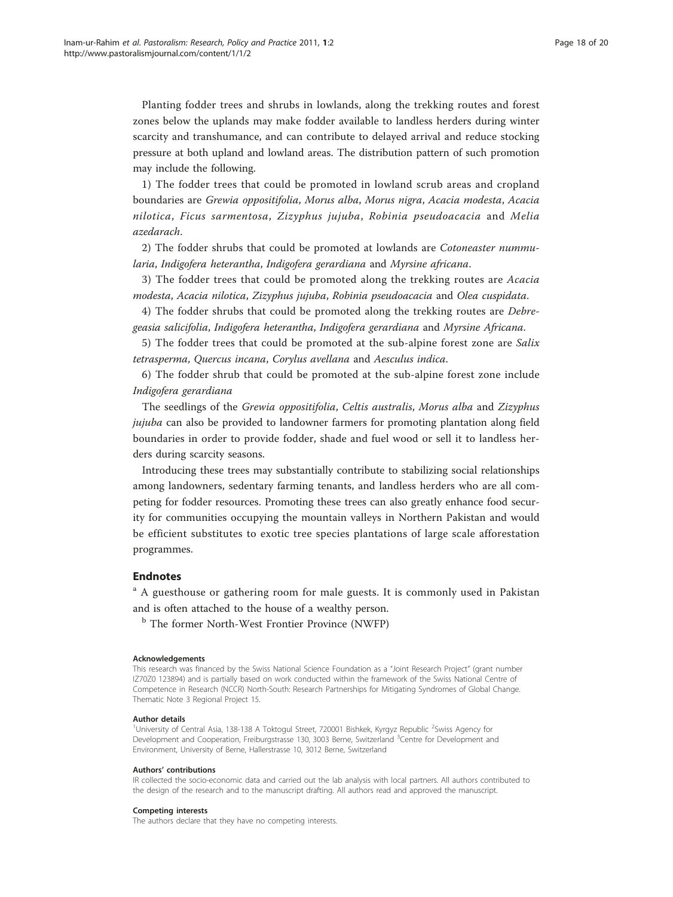Planting fodder trees and shrubs in lowlands, along the trekking routes and forest zones below the uplands may make fodder available to landless herders during winter scarcity and transhumance, and can contribute to delayed arrival and reduce stocking pressure at both upland and lowland areas. The distribution pattern of such promotion may include the following.

1) The fodder trees that could be promoted in lowland scrub areas and cropland boundaries are Grewia oppositifolia, Morus alba, Morus nigra, Acacia modesta, Acacia nilotica, Ficus sarmentosa, Zizyphus jujuba, Robinia pseudoacacia and Melia azedarach.

2) The fodder shrubs that could be promoted at lowlands are Cotoneaster nummularia, Indigofera heterantha, Indigofera gerardiana and Myrsine africana.

3) The fodder trees that could be promoted along the trekking routes are Acacia modesta, Acacia nilotica, Zizyphus jujuba, Robinia pseudoacacia and Olea cuspidata.

4) The fodder shrubs that could be promoted along the trekking routes are Debregeasia salicifolia, Indigofera heterantha, Indigofera gerardiana and Myrsine Africana.

5) The fodder trees that could be promoted at the sub-alpine forest zone are Salix tetrasperma, Quercus incana, Corylus avellana and Aesculus indica.

6) The fodder shrub that could be promoted at the sub-alpine forest zone include Indigofera gerardiana

The seedlings of the Grewia oppositifolia, Celtis australis, Morus alba and Zizyphus jujuba can also be provided to landowner farmers for promoting plantation along field boundaries in order to provide fodder, shade and fuel wood or sell it to landless herders during scarcity seasons.

Introducing these trees may substantially contribute to stabilizing social relationships among landowners, sedentary farming tenants, and landless herders who are all competing for fodder resources. Promoting these trees can also greatly enhance food security for communities occupying the mountain valleys in Northern Pakistan and would be efficient substitutes to exotic tree species plantations of large scale afforestation programmes.

#### Endnotes

<sup>a</sup> A guesthouse or gathering room for male guests. It is commonly used in Pakistan and is often attached to the house of a wealthy person.

<sup>b</sup> The former North-West Frontier Province (NWFP)

#### Acknowledgements

This research was financed by the Swiss National Science Foundation as a "Joint Research Project" (grant number IZ70Z0 123894) and is partially based on work conducted within the framework of the Swiss National Centre of Competence in Research (NCCR) North-South: Research Partnerships for Mitigating Syndromes of Global Change. Thematic Note 3 Regional Project 15.

#### Author details

<sup>1</sup>University of Central Asia, 138-138 A Toktogul Street, 720001 Bishkek, Kyrgyz Republic <sup>2</sup>Swiss Agency for Development and Cooperation, Freiburgstrasse 130, 3003 Berne, Switzerland <sup>3</sup>Centre for Development and Environment, University of Berne, Hallerstrasse 10, 3012 Berne, Switzerland

#### Authors' contributions

IR collected the socio-economic data and carried out the lab analysis with local partners. All authors contributed to the design of the research and to the manuscript drafting. All authors read and approved the manuscript.

#### Competing interests

The authors declare that they have no competing interests.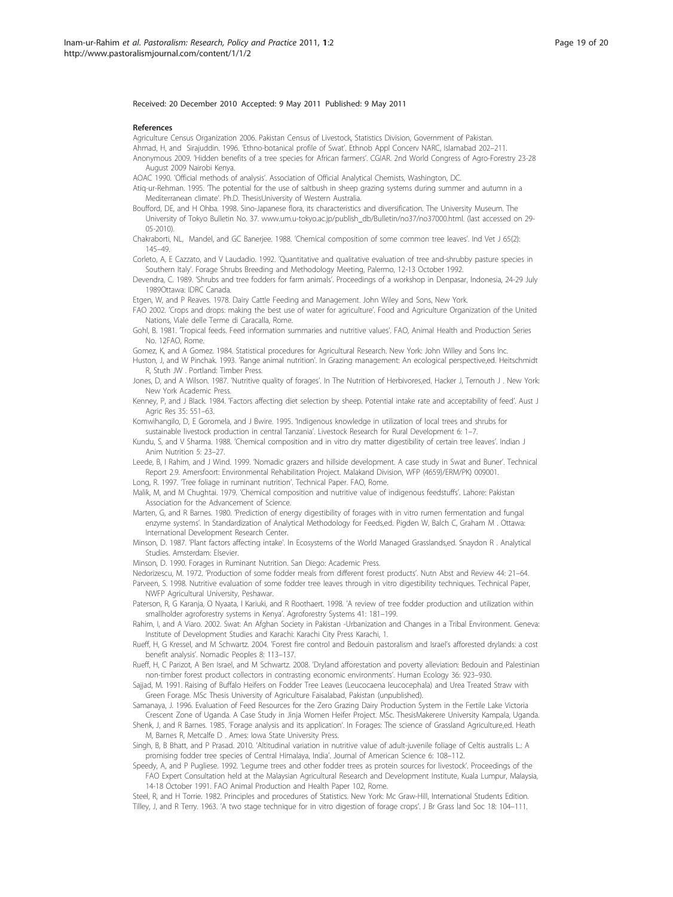#### <span id="page-18-0"></span>Received: 20 December 2010 Accepted: 9 May 2011 Published: 9 May 2011

#### References

Agriculture Census Organization 2006. Pakistan Census of Livestock, Statistics Division, Government of Pakistan.

- Ahmad, H, and Sirajuddin. 1996. 'Ethno-botanical profile of Swat'. Ethnob Appl Concerv NARC, Islamabad 202–211.
- Anonymous 2009. 'Hidden benefits of a tree species for African farmers'. CGIAR. 2nd World Congress of Agro-Forestry 23-28 August 2009 Nairobi Kenya.

AOAC 1990. 'Official methods of analysis'. Association of Official Analytical Chemists, Washington, DC.

- Atiq-ur-Rehman. 1995. 'The potential for the use of saltbush in sheep grazing systems during summer and autumn in a Mediterranean climate'. Ph.D. ThesisUniversity of Western Australia.
- Boufford, DE, and H Ohba. 1998. Sino-Japanese flora, its characteristics and diversification. The University Museum. The University of Tokyo Bulletin No. 37. [www.um.u-tokyo.ac.jp/publish\\_db/Bulletin/no37/no37000.html](www.um.u-tokyo.ac.jp/publish_db/Bulletin/no37/no37000.html). (last accessed on 29- 05-2010).
- Chakraborti, NL, Mandel, and GC Banerjee. 1988. 'Chemical composition of some common tree leaves'. Ind Vet J 65(2): 145–49.
- Corleto, A, E Cazzato, and V Laudadio. 1992. 'Quantitative and qualitative evaluation of tree and-shrubby pasture species in Southern Italy'. Forage Shrubs Breeding and Methodology Meeting, Palermo, 12-13 October 1992.
- Devendra, C. 1989. 'Shrubs and tree fodders for farm animals'. Proceedings of a workshop in Denpasar, Indonesia, 24-29 July 1989Ottawa: IDRC Canada.

Etgen, W, and P Reaves. 1978. Dairy Cattle Feeding and Management. John Wiley and Sons, New York.

- FAO 2002. 'Crops and drops: making the best use of water for agriculture'. Food and Agriculture Organization of the United Nations, Viale delle Terme di Caracalla, Rome.
- Gohl, B. 1981. 'Tropical feeds. Feed information summaries and nutritive values'. FAO, Animal Health and Production Series No. 12FAO, Rome.
- Gomez, K, and A Gomez. 1984. Statistical procedures for Agricultural Research. New York: John Willey and Sons Inc.
- Huston, J, and W Pinchak. 1993. 'Range animal nutrition'. In Grazing management: An ecological perspective,ed. Heitschmidt R, Stuth JW . Portland: Timber Press.
- Jones, D, and A Wilson. 1987. 'Nutritive quality of forages'. In The Nutrition of Herbivores,ed. Hacker J, Ternouth J . New York: New York Academic Press.
- Kenney, P, and J Black. 1984. 'Factors affecting diet selection by sheep. Potential intake rate and acceptability of feed'. Aust J Agric Res 35: 551–63.
- Komwihangilo, D, E Goromela, and J Bwire. 1995. 'Indigenous knowledge in utilization of local trees and shrubs for sustainable livestock production in central Tanzania'. Livestock Research for Rural Development 6: 1–7.
- Kundu, S, and V Sharma. 1988. 'Chemical composition and in vitro dry matter digestibility of certain tree leaves'. Indian J Anim Nutrition 5: 23–27.
- Leede, B, I Rahim, and J Wind. 1999. 'Nomadic grazers and hillside development. A case study in Swat and Buner'. Technical Report 2.9. Amersfoort: Environmental Rehabilitation Project. Malakand Division, WFP (4659)/ERM/PK) 009001. Long, R. 1997. 'Tree foliage in ruminant nutrition'. Technical Paper. FAO, Rome.
- Malik, M, and M Chughtai. 1979. 'Chemical composition and nutritive value of indigenous feedstuffs'. Lahore: Pakistan Association for the Advancement of Science.
- Marten, G, and R Barnes. 1980. 'Prediction of energy digestibility of forages with in vitro rumen fermentation and fungal enzyme systems'. In Standardization of Analytical Methodology for Feeds,ed. Pigden W, Balch C, Graham M . Ottawa: International Development Research Center.
- Minson, D. 1987. 'Plant factors affecting intake'. In Ecosystems of the World Managed Grasslands,ed. Snaydon R . Analytical Studies. Amsterdam: Elsevier.

Minson, D. 1990. Forages in Ruminant Nutrition. San Diego: Academic Press.

- Nedorizescu, M. 1972. 'Production of some fodder meals from different forest products'. Nutn Abst and Review 44: 21–64. Parveen, S. 1998. Nutritive evaluation of some fodder tree leaves through in vitro digestibility techniques. Technical Paper,
- NWFP Agricultural University, Peshawar.

Paterson, R, G Karanja, O Nyaata, I Kariuki, and R Roothaert. 1998. 'A review of tree fodder production and utilization within smallholder agroforestry systems in Kenya'. Agroforestry Systems 41: 181–199.

- Rahim, I, and A Viaro. 2002. Swat: An Afghan Society in Pakistan -Urbanization and Changes in a Tribal Environment. Geneva: Institute of Development Studies and Karachi: Karachi City Press Karachi, 1.
- Rueff, H, G Kressel, and M Schwartz. 2004. 'Forest fire control and Bedouin pastoralism and Israel's afforested drylands: a cost benefit analysis'. Nomadic Peoples 8: 113–137.
- Rueff, H, C Parizot, A Ben Israel, and M Schwartz. 2008. 'Dryland afforestation and poverty alleviation: Bedouin and Palestinian non-timber forest product collectors in contrasting economic environments'. Human Ecology 36: 923–930.
- Sajjad, M. 1991. Raising of Buffalo Heifers on Fodder Tree Leaves (Leucocaena leucocephala) and Urea Treated Straw with Green Forage. MSc Thesis University of Agriculture Faisalabad, Pakistan (unpublished).
- Samanaya, J. 1996. Evaluation of Feed Resources for the Zero Grazing Dairy Production System in the Fertile Lake Victoria
- Crescent Zone of Uganda. A Case Study in Jinja Women Heifer Project. MSc. ThesisMakerere University Kampala, Uganda. Shenk, J, and R Barnes. 1985. 'Forage analysis and its application'. In Forages: The science of Grassland Agriculture,ed. Heath M, Barnes R, Metcalfe D . Ames: Iowa State University Press.
- Singh, B, B Bhatt, and P Prasad. 2010. 'Altitudinal variation in nutritive value of adult-juvenile foliage of Celtis australis L.: A promising fodder tree species of Central Himalaya, India'. Journal of American Science 6: 108–112.
- Speedy, A, and P Pugliese. 1992. 'Legume trees and other fodder trees as protein sources for livestock'. Proceedings of the FAO Expert Consultation held at the Malaysian Agricultural Research and Development Institute, Kuala Lumpur, Malaysia, 14-18 October 1991. FAO Animal Production and Health Paper 102, Rome.
- Steel, R, and H Torrie. 1982. Principles and procedures of Statistics. New York: Mc Graw-Hill, International Students Edition. Tilley, J, and R Terry. 1963. 'A two stage technique for in vitro digestion of forage crops'. J Br Grass land Soc 18: 104–111.